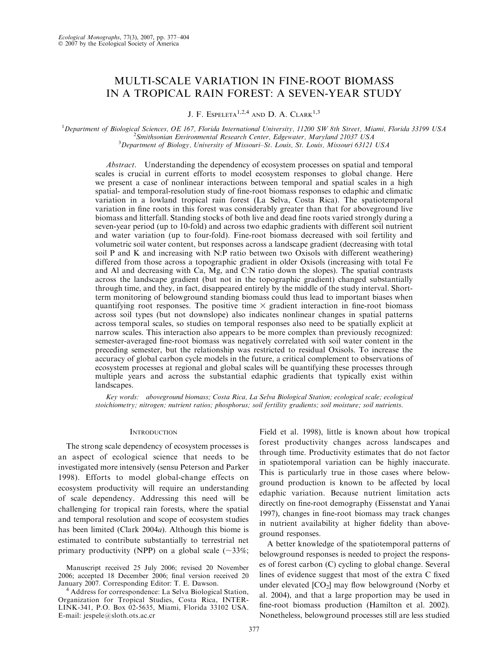# MULTI-SCALE VARIATION IN FINE-ROOT BIOMASS IN A TROPICAL RAIN FOREST: A SEVEN-YEAR STUDY

J. F. ESPELETA<sup>1,2,4</sup> AND D. A. CLARK<sup>1,3</sup>

<sup>1</sup>Department of Biological Sciences, OE 167, Florida International University, 11200 SW 8th Street, Miami, Florida 33199 USA  $^{2}$ Smithsonian Eminonmental Bessexuh Center, Edgewater, Mamiland 21037 USA  $2$ Smithsonian Environmental Research Center, Edgewater, Maryland 21037 USA  $3$ Department of Biology, University of Missouri-St. Louis, St. Louis, Missouri 63121 USA

Abstract. Understanding the dependency of ecosystem processes on spatial and temporal scales is crucial in current efforts to model ecosystem responses to global change. Here we present a case of nonlinear interactions between temporal and spatial scales in a high spatial- and temporal-resolution study of fine-root biomass responses to edaphic and climatic variation in a lowland tropical rain forest (La Selva, Costa Rica). The spatiotemporal variation in fine roots in this forest was considerably greater than that for aboveground live biomass and litterfall. Standing stocks of both live and dead fine roots varied strongly during a seven-year period (up to 10-fold) and across two edaphic gradients with different soil nutrient and water variation (up to four-fold). Fine-root biomass decreased with soil fertility and volumetric soil water content, but responses across a landscape gradient (decreasing with total soil P and K and increasing with N:P ratio between two Oxisols with different weathering) differed from those across a topographic gradient in older Oxisols (increasing with total Fe and Al and decreasing with Ca, Mg, and C:N ratio down the slopes). The spatial contrasts across the landscape gradient (but not in the topographic gradient) changed substantially through time, and they, in fact, disappeared entirely by the middle of the study interval. Shortterm monitoring of belowground standing biomass could thus lead to important biases when quantifying root responses. The positive time  $\times$  gradient interaction in fine-root biomass across soil types (but not downslope) also indicates nonlinear changes in spatial patterns across temporal scales, so studies on temporal responses also need to be spatially explicit at narrow scales. This interaction also appears to be more complex than previously recognized: semester-averaged fine-root biomass was negatively correlated with soil water content in the preceding semester, but the relationship was restricted to residual Oxisols. To increase the accuracy of global carbon cycle models in the future, a critical complement to observations of ecosystem processes at regional and global scales will be quantifying these processes through multiple years and across the substantial edaphic gradients that typically exist within landscapes.

Key words: aboveground biomass; Costa Rica, La Selva Biological Station; ecological scale; ecological stoichiometry; nitrogen; nutrient ratios; phosphorus; soil fertility gradients; soil moisture; soil nutrients.

#### **INTRODUCTION**

The strong scale dependency of ecosystem processes is an aspect of ecological science that needs to be investigated more intensively (sensu Peterson and Parker 1998). Efforts to model global-change effects on ecosystem productivity will require an understanding of scale dependency. Addressing this need will be challenging for tropical rain forests, where the spatial and temporal resolution and scope of ecosystem studies has been limited (Clark 2004a). Although this biome is estimated to contribute substantially to terrestrial net primary productivity (NPP) on a global scale  $(\sim 33\%;$ 

<sup>4</sup> Address for correspondence: La Selva Biological Station, Organization for Tropical Studies, Costa Rica, INTER-LINK-341, P.O. Box 02-5635, Miami, Florida 33102 USA. E-mail: jespele@sloth.ots.ac.cr

Field et al. 1998), little is known about how tropical forest productivity changes across landscapes and through time. Productivity estimates that do not factor in spatiotemporal variation can be highly inaccurate. This is particularly true in those cases where belowground production is known to be affected by local edaphic variation. Because nutrient limitation acts directly on fine-root demography (Eissenstat and Yanai 1997), changes in fine-root biomass may track changes in nutrient availability at higher fidelity than aboveground responses.

A better knowledge of the spatiotemporal patterns of belowground responses is needed to project the responses of forest carbon (C) cycling to global change. Several lines of evidence suggest that most of the extra C fixed under elevated  $[CO_2]$  may flow belowground (Norby et al. 2004), and that a large proportion may be used in fine-root biomass production (Hamilton et al. 2002). Nonetheless, belowground processes still are less studied

Manuscript received 25 July 2006; revised 20 November 2006; accepted 18 December 2006; final version received 20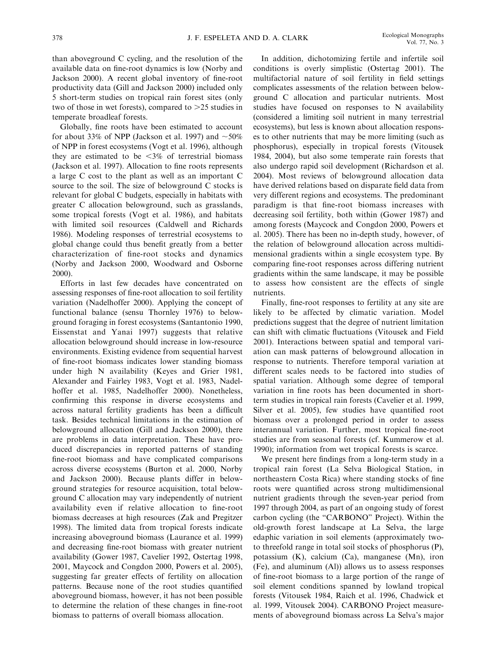than aboveground C cycling, and the resolution of the available data on fine-root dynamics is low (Norby and Jackson 2000). A recent global inventory of fine-root productivity data (Gill and Jackson 2000) included only 5 short-term studies on tropical rain forest sites (only two of those in wet forests), compared to  $>25$  studies in temperate broadleaf forests.

Globally, fine roots have been estimated to account for about 33% of NPP (Jackson et al. 1997) and  $\sim$ 50% of NPP in forest ecosystems (Vogt et al. 1996), although they are estimated to be  $\leq 3\%$  of terrestrial biomass (Jackson et al. 1997). Allocation to fine roots represents a large C cost to the plant as well as an important C source to the soil. The size of belowground C stocks is relevant for global C budgets, especially in habitats with greater C allocation belowground, such as grasslands, some tropical forests (Vogt et al. 1986), and habitats with limited soil resources (Caldwell and Richards 1986). Modeling responses of terrestrial ecosystems to global change could thus benefit greatly from a better characterization of fine-root stocks and dynamics (Norby and Jackson 2000, Woodward and Osborne 2000).

Efforts in last few decades have concentrated on assessing responses of fine-root allocation to soil fertility variation (Nadelhoffer 2000). Applying the concept of functional balance (sensu Thornley 1976) to belowground foraging in forest ecosystems (Santantonio 1990, Eissenstat and Yanai 1997) suggests that relative allocation belowground should increase in low-resource environments. Existing evidence from sequential harvest of fine-root biomass indicates lower standing biomass under high N availability (Keyes and Grier 1981, Alexander and Fairley 1983, Vogt et al. 1983, Nadelhoffer et al. 1985, Nadelhoffer 2000). Nonetheless, confirming this response in diverse ecosystems and across natural fertility gradients has been a difficult task. Besides technical limitations in the estimation of belowground allocation (Gill and Jackson 2000), there are problems in data interpretation. These have produced discrepancies in reported patterns of standing fine-root biomass and have complicated comparisons across diverse ecosystems (Burton et al. 2000, Norby and Jackson 2000). Because plants differ in belowground strategies for resource acquisition, total belowground C allocation may vary independently of nutrient availability even if relative allocation to fine-root biomass decreases at high resources (Zak and Pregitzer 1998). The limited data from tropical forests indicate increasing aboveground biomass (Laurance et al. 1999) and decreasing fine-root biomass with greater nutrient availability (Gower 1987, Cavelier 1992, Ostertag 1998, 2001, Maycock and Congdon 2000, Powers et al. 2005), suggesting far greater effects of fertility on allocation patterns. Because none of the root studies quantified aboveground biomass, however, it has not been possible to determine the relation of these changes in fine-root biomass to patterns of overall biomass allocation.

In addition, dichotomizing fertile and infertile soil conditions is overly simplistic (Ostertag 2001). The multifactorial nature of soil fertility in field settings complicates assessments of the relation between belowground C allocation and particular nutrients. Most studies have focused on responses to N availability (considered a limiting soil nutrient in many terrestrial ecosystems), but less is known about allocation responses to other nutrients that may be more limiting (such as phosphorus), especially in tropical forests (Vitousek 1984, 2004), but also some temperate rain forests that also undergo rapid soil development (Richardson et al. 2004). Most reviews of belowground allocation data have derived relations based on disparate field data from very different regions and ecosystems. The predominant paradigm is that fine-root biomass increases with decreasing soil fertility, both within (Gower 1987) and among forests (Maycock and Congdon 2000, Powers et al. 2005). There has been no in-depth study, however, of the relation of belowground allocation across multidimensional gradients within a single ecosystem type. By comparing fine-root responses across differing nutrient gradients within the same landscape, it may be possible to assess how consistent are the effects of single nutrients.

Finally, fine-root responses to fertility at any site are likely to be affected by climatic variation. Model predictions suggest that the degree of nutrient limitation can shift with climatic fluctuations (Vitousek and Field 2001). Interactions between spatial and temporal variation can mask patterns of belowground allocation in response to nutrients. Therefore temporal variation at different scales needs to be factored into studies of spatial variation. Although some degree of temporal variation in fine roots has been documented in shortterm studies in tropical rain forests (Cavelier et al. 1999, Silver et al. 2005), few studies have quantified root biomass over a prolonged period in order to assess interannual variation. Further, most tropical fine-root studies are from seasonal forests (cf. Kummerow et al. 1990); information from wet tropical forests is scarce.

We present here findings from a long-term study in a tropical rain forest (La Selva Biological Station, in northeastern Costa Rica) where standing stocks of fine roots were quantified across strong multidimensional nutrient gradients through the seven-year period from 1997 through 2004, as part of an ongoing study of forest carbon cycling (the "CARBONO" Project). Within the old-growth forest landscape at La Selva, the large edaphic variation in soil elements (approximately twoto threefold range in total soil stocks of phosphorus (P), potassium (K), calcium (Ca), manganese (Mn), iron (Fe), and aluminum (Al)) allows us to assess responses of fine-root biomass to a large portion of the range of soil element conditions spanned by lowland tropical forests (Vitousek 1984, Raich et al. 1996, Chadwick et al. 1999, Vitousek 2004). CARBONO Project measurements of aboveground biomass across La Selva's major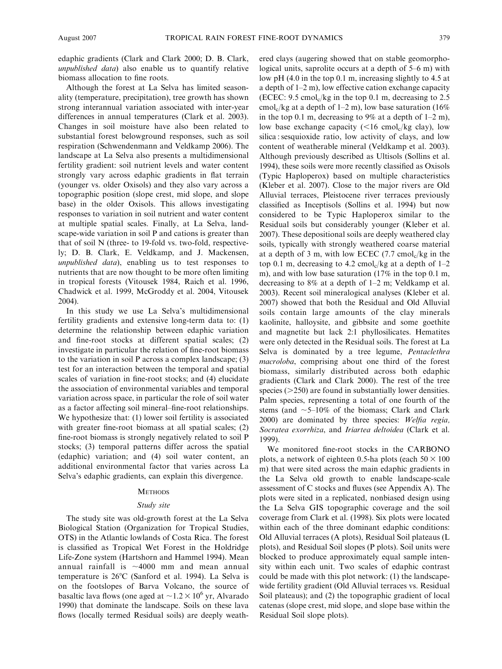edaphic gradients (Clark and Clark 2000; D. B. Clark, unpublished data) also enable us to quantify relative biomass allocation to fine roots.

Although the forest at La Selva has limited seasonality (temperature, precipitation), tree growth has shown strong interannual variation associated with inter-year differences in annual temperatures (Clark et al. 2003). Changes in soil moisture have also been related to substantial forest belowground responses, such as soil respiration (Schwendenmann and Veldkamp 2006). The landscape at La Selva also presents a multidimensional fertility gradient: soil nutrient levels and water content strongly vary across edaphic gradients in flat terrain (younger vs. older Oxisols) and they also vary across a topographic position (slope crest, mid slope, and slope base) in the older Oxisols. This allows investigating responses to variation in soil nutrient and water content at multiple spatial scales. Finally, at La Selva, landscape-wide variation in soil P and cations is greater than that of soil N (three- to 19-fold vs. two-fold, respectively; D. B. Clark, E. Veldkamp, and J. Mackensen, unpublished data), enabling us to test responses to nutrients that are now thought to be more often limiting in tropical forests (Vitousek 1984, Raich et al. 1996, Chadwick et al. 1999, McGroddy et al. 2004, Vitousek 2004).

In this study we use La Selva's multidimensional fertility gradients and extensive long-term data to: (1) determine the relationship between edaphic variation and fine-root stocks at different spatial scales; (2) investigate in particular the relation of fine-root biomass to the variation in soil P across a complex landscape; (3) test for an interaction between the temporal and spatial scales of variation in fine-root stocks; and (4) elucidate the association of environmental variables and temporal variation across space, in particular the role of soil water as a factor affecting soil mineral–fine-root relationships. We hypothesize that: (1) lower soil fertility is associated with greater fine-root biomass at all spatial scales; (2) fine-root biomass is strongly negatively related to soil P stocks; (3) temporal patterns differ across the spatial (edaphic) variation; and (4) soil water content, an additional environmental factor that varies across La Selva's edaphic gradients, can explain this divergence.

### **METHODS**

#### Study site

The study site was old-growth forest at the La Selva Biological Station (Organization for Tropical Studies, OTS) in the Atlantic lowlands of Costa Rica. The forest is classified as Tropical Wet Forest in the Holdridge Life-Zone system (Hartshorn and Hammel 1994). Mean annual rainfall is  $\sim$ 4000 mm and mean annual temperature is  $26^{\circ}$ C (Sanford et al. 1994). La Selva is on the footslopes of Barva Volcano, the source of basaltic lava flows (one aged at  $\sim$ 1.2  $\times$  10<sup>6</sup> yr, Alvarado 1990) that dominate the landscape. Soils on these lava flows (locally termed Residual soils) are deeply weathered clays (augering showed that on stable geomorphological units, saprolite occurs at a depth of 5–6 m) with low pH (4.0 in the top 0.1 m, increasing slightly to 4.5 at a depth of 1–2 m), low effective cation exchange capacity (ECEC:  $9.5 \text{ cmol}_c/\text{kg}$  in the top 0.1 m, decreasing to 2.5 cmol<sub>c</sub>/kg at a depth of 1–2 m), low base saturation (16%) in the top 0.1 m, decreasing to 9% at a depth of 1–2 m), low base exchange capacity  $(<16$  cmol<sub>c</sub>/kg clay), low silica : sesquioxide ratio, low activity of clays, and low content of weatherable mineral (Veldkamp et al. 2003). Although previously described as Ultisols (Sollins et al. 1994), these soils were more recently classified as Oxisols (Typic Haploperox) based on multiple characteristics (Kleber et al. 2007). Close to the major rivers are Old Alluvial terraces, Pleistocene river terraces previously classified as Inceptisols (Sollins et al. 1994) but now considered to be Typic Haploperox similar to the Residual soils but considerably younger (Kleber et al. 2007). These depositional soils are deeply weathered clay soils, typically with strongly weathered coarse material at a depth of 3 m, with low ECEC  $(7.7 \text{ cmol}_c/\text{kg} \text{ in the}$ top 0.1 m, decreasing to 4.2 cmol<sub>c</sub>/kg at a depth of  $1-2$ m), and with low base saturation (17% in the top 0.1 m, decreasing to 8% at a depth of 1–2 m; Veldkamp et al. 2003). Recent soil mineralogical analyses (Kleber et al. 2007) showed that both the Residual and Old Alluvial soils contain large amounts of the clay minerals kaolinite, halloysite, and gibbsite and some goethite and magnetite but lack 2:1 phyllosilicates. Hematites were only detected in the Residual soils. The forest at La Selva is dominated by a tree legume, *Pentaclethra* macroloba, comprising about one third of the forest biomass, similarly distributed across both edaphic gradients (Clark and Clark 2000). The rest of the tree species  $(>=250)$  are found in substantially lower densities. Palm species, representing a total of one fourth of the stems (and  $\sim$  5–10% of the biomass; Clark and Clark 2000) are dominated by three species: Welfia regia, Socratea exorrhiza, and Iriartea deltoidea (Clark et al. 1999).

We monitored fine-root stocks in the CARBONO plots, a network of eighteen 0.5-ha plots (each  $50 \times 100$ m) that were sited across the main edaphic gradients in the La Selva old growth to enable landscape-scale assessment of C stocks and fluxes (see Appendix A). The plots were sited in a replicated, nonbiased design using the La Selva GIS topographic coverage and the soil coverage from Clark et al. (1998). Six plots were located within each of the three dominant edaphic conditions: Old Alluvial terraces (A plots), Residual Soil plateaus (L plots), and Residual Soil slopes (P plots). Soil units were blocked to produce approximately equal sample intensity within each unit. Two scales of edaphic contrast could be made with this plot network: (1) the landscapewide fertility gradient (Old Alluvial terraces vs. Residual Soil plateaus); and (2) the topographic gradient of local catenas (slope crest, mid slope, and slope base within the Residual Soil slope plots).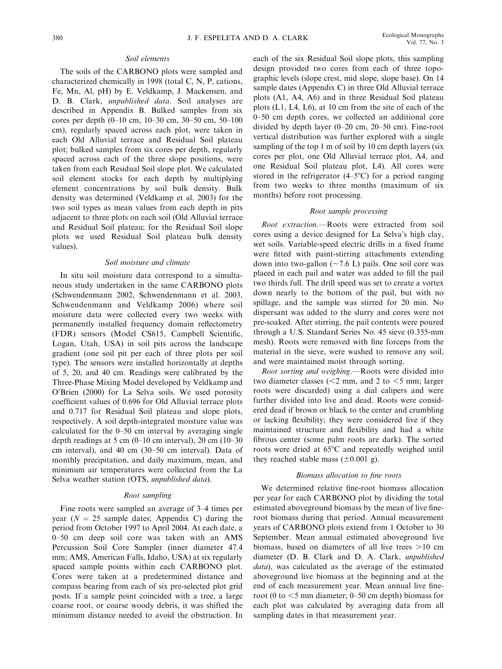#### Soil elements

The soils of the CARBONO plots were sampled and characterized chemically in 1998 (total C, N, P, cations, Fe, Mn, Al, pH) by E. Veldkamp, J. Mackensen, and D. B. Clark, unpublished data. Soil analyses are described in Appendix B. Bulked samples from six cores per depth (0–10 cm, 10–30 cm, 30–50 cm, 50–100 cm), regularly spaced across each plot, were taken in each Old Alluvial terrace and Residual Soil plateau plot; bulked samples from six cores per depth, regularly spaced across each of the three slope positions, were taken from each Residual Soil slope plot. We calculated soil element stocks for each depth by multiplying element concentrations by soil bulk density. Bulk density was determined (Veldkamp et al. 2003) for the two soil types as mean values from each depth in pits adjacent to three plots on each soil (Old Alluvial terrace and Residual Soil plateau; for the Residual Soil slope plots we used Residual Soil plateau bulk density values).

#### Soil moisture and climate

In situ soil moisture data correspond to a simultaneous study undertaken in the same CARBONO plots (Schwendenmann 2002, Schwendenmann et al. 2003, Schwendenmann and Veldkamp 2006) where soil moisture data were collected every two weeks with permanently installed frequency domain reflectometry (FDR) sensors (Model CS615, Campbell Scientific, Logan, Utah, USA) in soil pits across the landscape gradient (one soil pit per each of three plots per soil type). The sensors were installed horizontally at depths of 5, 20, and 40 cm. Readings were calibrated by the Three-Phase Mixing Model developed by Veldkamp and O'Brien (2000) for La Selva soils. We used porosity coefficient values of 0.696 for Old Alluvial terrace plots and 0.717 for Residual Soil plateau and slope plots, respectively. A soil depth-integrated moisture value was calculated for the 0–50 cm interval by averaging single depth readings at 5 cm  $(0-10 \text{ cm interval})$ , 20 cm  $(10-30 \text{ cm})$ cm interval), and 40 cm (30–50 cm interval). Data of monthly precipitation, and daily maximum, mean, and minimum air temperatures were collected from the La Selva weather station (OTS, unpublished data).

# Root sampling

Fine roots were sampled an average of 3–4 times per year ( $N = 25$  sample dates; Appendix C) during the period from October 1997 to April 2004. At each date, a 0–50 cm deep soil core was taken with an AMS Percussion Soil Core Sampler (inner diameter 47.4 mm; AMS, American Falls, Idaho, USA) at six regularly spaced sample points within each CARBONO plot. Cores were taken at a predetermined distance and compass bearing from each of six pre-selected plot grid posts. If a sample point coincided with a tree, a large coarse root, or coarse woody debris, it was shifted the minimum distance needed to avoid the obstruction. In each of the six Residual Soil slope plots, this sampling design provided two cores from each of three topographic levels (slope crest, mid slope, slope base). On 14 sample dates (Appendix C) in three Old Alluvial terrace plots (A1, A4, A6) and in three Residual Soil plateau plots (L1, L4, L6), at 10 cm from the site of each of the 0–50 cm depth cores, we collected an additional core divided by depth layer (0–20 cm, 20–50 cm). Fine-root vertical distribution was further explored with a single sampling of the top 1 m of soil by 10 cm depth layers (six cores per plot, one Old Alluvial terrace plot, A4, and one Residual Soil plateau plot, L4). All cores were stored in the refrigerator  $(4-5^{\circ}C)$  for a period ranging from two weeks to three months (maximum of six months) before root processing.

#### Root sample processing

Root extraction.—Roots were extracted from soil cores using a device designed for La Selva's high clay, wet soils. Variable-speed electric drills in a fixed frame were fitted with paint-stirring attachments extending down into two-gallon  $(\sim 7.6 \text{ L})$  pails. One soil core was placed in each pail and water was added to fill the pail two thirds full. The drill speed was set to create a vortex down nearly to the bottom of the pail, but with no spillage, and the sample was stirred for 20 min. No dispersant was added to the slurry and cores were not pre-soaked. After stirring, the pail contents were poured through a U.S. Standard Series No. 45 sieve (0.355-mm mesh). Roots were removed with fine forceps from the material in the sieve, were washed to remove any soil, and were maintained moist through sorting.

Root sorting and weighing.—Roots were divided into two diameter classes  $\ll$  mm, and 2 to  $\lt$  5 mm; larger roots were discarded) using a dial calipers and were further divided into live and dead. Roots were considered dead if brown or black to the center and crumbling or lacking flexibility; they were considered live if they maintained structure and flexibility and had a white fibrous center (some palm roots are dark). The sorted roots were dried at 65°C and repeatedly weighed until they reached stable mass  $(\pm 0.001 \text{ g})$ .

# Biomass allocation to fine roots

We determined relative fine-root biomass allocation per year for each CARBONO plot by dividing the total estimated aboveground biomass by the mean of live fineroot biomass during that period. Annual measurement years of CARBONO plots extend from 1 October to 30 September. Mean annual estimated aboveground live biomass, based on diameters of all live trees  $>10$  cm diameter (D. B. Clark and D. A. Clark, unpublished data), was calculated as the average of the estimated aboveground live biomass at the beginning and at the end of each measurement year. Mean annual live fineroot (0 to  $<$ 5 mm diameter; 0–50 cm depth) biomass for each plot was calculated by averaging data from all sampling dates in that measurement year.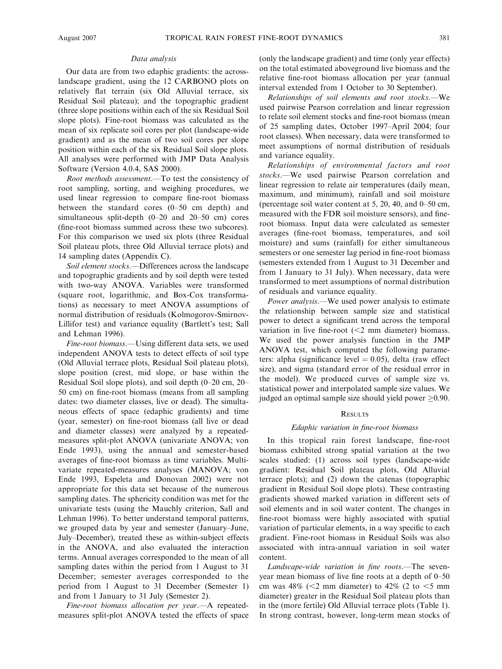#### Data analysis

Our data are from two edaphic gradients: the acrosslandscape gradient, using the 12 CARBONO plots on relatively flat terrain (six Old Alluvial terrace, six Residual Soil plateau); and the topographic gradient (three slope positions within each of the six Residual Soil slope plots). Fine-root biomass was calculated as the mean of six replicate soil cores per plot (landscape-wide gradient) and as the mean of two soil cores per slope position within each of the six Residual Soil slope plots. All analyses were performed with JMP Data Analysis Software (Version 4.0.4, SAS 2000).

Root methods assessment.—To test the consistency of root sampling, sorting, and weighing procedures, we used linear regression to compare fine-root biomass between the standard cores (0–50 cm depth) and simultaneous split-depth (0–20 and 20–50 cm) cores (fine-root biomass summed across these two subcores). For this comparison we used six plots (three Residual Soil plateau plots, three Old Alluvial terrace plots) and 14 sampling dates (Appendix C).

Soil element stocks.—Differences across the landscape and topographic gradients and by soil depth were tested with two-way ANOVA. Variables were transformed (square root, logarithmic, and Box-Cox transformations) as necessary to meet ANOVA assumptions of normal distribution of residuals (Kolmogorov-Smirnov-Lillifor test) and variance equality (Bartlett's test; Sall and Lehman 1996).

Fine-root biomass.—Using different data sets, we used independent ANOVA tests to detect effects of soil type (Old Alluvial terrace plots, Residual Soil plateau plots), slope position (crest, mid slope, or base within the Residual Soil slope plots), and soil depth (0–20 cm, 20– 50 cm) on fine-root biomass (means from all sampling dates: two diameter classes, live or dead). The simultaneous effects of space (edaphic gradients) and time (year, semester) on fine-root biomass (all live or dead and diameter classes) were analyzed by a repeatedmeasures split-plot ANOVA (univariate ANOVA; von Ende 1993), using the annual and semester-based averages of fine-root biomass as time variables. Multivariate repeated-measures analyses (MANOVA; von Ende 1993, Espeleta and Donovan 2002) were not appropriate for this data set because of the numerous sampling dates. The sphericity condition was met for the univariate tests (using the Mauchly criterion, Sall and Lehman 1996). To better understand temporal patterns, we grouped data by year and semester (January–June, July–December), treated these as within-subject effects in the ANOVA, and also evaluated the interaction terms. Annual averages corresponded to the mean of all sampling dates within the period from 1 August to 31 December; semester averages corresponded to the period from 1 August to 31 December (Semester 1) and from 1 January to 31 July (Semester 2).

Fine-root biomass allocation per year.—A repeatedmeasures split-plot ANOVA tested the effects of space (only the landscape gradient) and time (only year effects) on the total estimated aboveground live biomass and the relative fine-root biomass allocation per year (annual interval extended from 1 October to 30 September).

Relationships of soil elements and root stocks.—We used pairwise Pearson correlation and linear regression to relate soil element stocks and fine-root biomass (mean of 25 sampling dates, October 1997–April 2004; four root classes). When necessary, data were transformed to meet assumptions of normal distribution of residuals and variance equality.

Relationships of environmental factors and root stocks.—We used pairwise Pearson correlation and linear regression to relate air temperatures (daily mean, maximum, and minimum), rainfall and soil moisture (percentage soil water content at 5, 20, 40, and 0–50 cm, measured with the FDR soil moisture sensors), and fineroot biomass. Input data were calculated as semester averages (fine-root biomass, temperatures, and soil moisture) and sums (rainfall) for either simultaneous semesters or one semester lag period in fine-root biomass (semesters extended from 1 August to 31 December and from 1 January to 31 July). When necessary, data were transformed to meet assumptions of normal distribution of residuals and variance equality.

Power analysis.—We used power analysis to estimate the relationship between sample size and statistical power to detect a significant trend across the temporal variation in live fine-root  $\ll$  mm diameter) biomass. We used the power analysis function in the JMP ANOVA test, which computed the following parameters: alpha (significance level  $= 0.05$ ), delta (raw effect size), and sigma (standard error of the residual error in the model). We produced curves of sample size vs. statistical power and interpolated sample size values. We judged an optimal sample size should yield power  $\geq$ 0.90.

# **RESULTS**

#### Edaphic variation in fine-root biomass

In this tropical rain forest landscape, fine-root biomass exhibited strong spatial variation at the two scales studied: (1) across soil types (landscape-wide gradient: Residual Soil plateau plots, Old Alluvial terrace plots); and (2) down the catenas (topographic gradient in Residual Soil slope plots). These contrasting gradients showed marked variation in different sets of soil elements and in soil water content. The changes in fine-root biomass were highly associated with spatial variation of particular elements, in a way specific to each gradient. Fine-root biomass in Residual Soils was also associated with intra-annual variation in soil water content.

Landscape-wide variation in fine roots.—The sevenyear mean biomass of live fine roots at a depth of 0–50 cm was  $48\%$  (<2 mm diameter) to  $42\%$  (2 to  $<$ 5 mm diameter) greater in the Residual Soil plateau plots than in the (more fertile) Old Alluvial terrace plots (Table 1). In strong contrast, however, long-term mean stocks of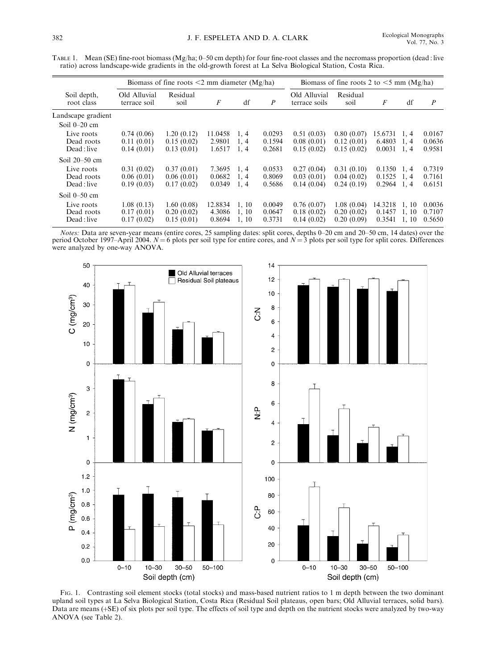TABLE 1. Mean (SE) fine-root biomass (Mg/ha; 0–50 cm depth) for four fine-root classes and the necromass proportion (dead : live ratio) across landscape-wide gradients in the old-growth forest at La Selva Biological Station, Costa Rica.

|                                         |                                        | Biomass of fine roots $\leq$ 2 mm diameter (Mg/ha) |                             | Biomass of fine roots 2 to $\leq$ 5 mm (Mg/ha) |                            |                                        |                                        |                             |                         |                            |
|-----------------------------------------|----------------------------------------|----------------------------------------------------|-----------------------------|------------------------------------------------|----------------------------|----------------------------------------|----------------------------------------|-----------------------------|-------------------------|----------------------------|
| Soil depth,<br>root class               | Old Alluvial<br>terrace soil           | Residual<br>soil                                   | F                           | df                                             | $\boldsymbol{P}$           | Old Alluvial<br>terrace soils          | Residual<br>soil                       | F                           | df                      | $\boldsymbol{P}$           |
| Landscape gradient<br>Soil $0-20$ cm    |                                        |                                                    |                             |                                                |                            |                                        |                                        |                             |                         |                            |
| Live roots<br>Dead roots<br>Dead : live | 0.74(0.06)<br>0.11(0.01)<br>0.14(0.01) | 1.20(0.12)<br>0.15(0.02)<br>0.13(0.01)             | 11.0458<br>2.9801<br>1.6517 | 1, 4<br>1, 4<br>1, 4                           | 0.0293<br>0.1594<br>0.2681 | 0.51(0.03)<br>0.08(0.01)<br>0.15(0.02) | 0.80(0.07)<br>0.12(0.01)<br>0.15(0.02) | 15.6731<br>6.4803<br>0.0031 | 1, 4<br>1.4<br>1, 4     | 0.0167<br>0.0636<br>0.9581 |
| Soil $20-50$ cm                         |                                        |                                                    |                             |                                                |                            |                                        |                                        |                             |                         |                            |
| Live roots<br>Dead roots<br>Dead : live | 0.31(0.02)<br>0.06(0.01)<br>0.19(0.03) | 0.37(0.01)<br>0.06(0.01)<br>0.17(0.02)             | 7.3695<br>0.0682<br>0.0349  | 1, 4<br>1, 4<br>1, 4                           | 0.0533<br>0.8069<br>0.5686 | 0.27(0.04)<br>0.03(0.01)<br>0.14(0.04) | 0.31(0.10)<br>0.04(0.02)<br>0.24(0.19) | 0.1350<br>0.1525<br>0.2964  | 1, 4<br>1.4<br>1.4      | 0.7319<br>0.7161<br>0.6151 |
| Soil $0-50$ cm                          |                                        |                                                    |                             |                                                |                            |                                        |                                        |                             |                         |                            |
| Live roots<br>Dead roots<br>Dead : live | 1.08(0.13)<br>0.17(0.01)<br>0.17(0.02) | 1.60(0.08)<br>0.20(0.02)<br>0.15(0.01)             | 12.8834<br>4.3086<br>0.8694 | 1, 10<br>1, 10<br>1, 10                        | 0.0049<br>0.0647<br>0.3731 | 0.76(0.07)<br>0.18(0.02)<br>0.14(0.02) | 1.08(0.04)<br>0.20(0.02)<br>0.20(0.09) | 14.3218<br>0.1457<br>0.3541 | 1, 10<br>1, 10<br>1, 10 | 0.0036<br>0.7107<br>0.5650 |

Notes: Data are seven-year means (entire cores, 25 sampling dates: split cores, depths 0–20 cm and 20–50 cm, 14 dates) over the period October 1997–April 2004.  $N = 6$  plots per soil type for entire cores, and  $N = 3$  plots per soil type for split cores. Differences were analyzed by one-way ANOVA.



FIG. 1. Contrasting soil element stocks (total stocks) and mass-based nutrient ratios to 1 m depth between the two dominant upland soil types at La Selva Biological Station, Costa Rica (Residual Soil plateaus, open bars; Old Alluvial terraces, solid bars). Data are means (+SE) of six plots per soil type. The effects of soil type and depth on the nutrient stocks were analyzed by two-way ANOVA (see Table 2).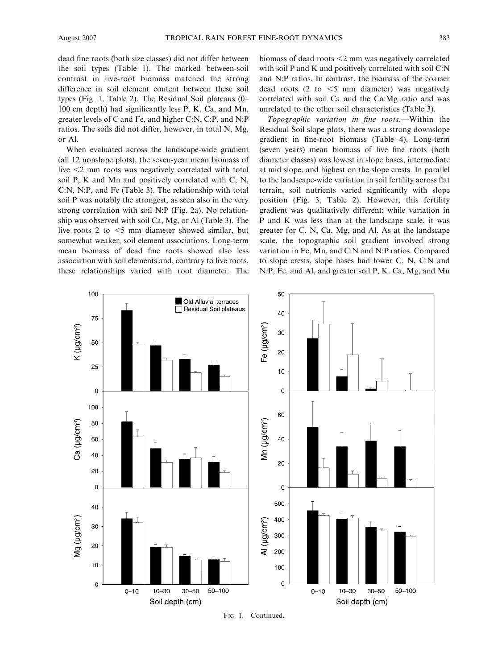dead fine roots (both size classes) did not differ between the soil types (Table 1). The marked between-soil contrast in live-root biomass matched the strong difference in soil element content between these soil types (Fig. 1, Table 2). The Residual Soil plateaus (0– 100 cm depth) had significantly less P, K, Ca, and Mn, greater levels of C and Fe, and higher C:N, C:P, and N:P ratios. The soils did not differ, however, in total N, Mg, or Al.

When evaluated across the landscape-wide gradient (all 12 nonslope plots), the seven-year mean biomass of live  $\leq$  mm roots was negatively correlated with total soil P, K and Mn and positively correlated with C, N, C:N, N:P, and Fe (Table 3). The relationship with total soil P was notably the strongest, as seen also in the very strong correlation with soil N:P (Fig. 2a). No relationship was observed with soil Ca, Mg, or Al (Table 3). The live roots 2 to  $\leq$ 5 mm diameter showed similar, but somewhat weaker, soil element associations. Long-term mean biomass of dead fine roots showed also less association with soil elements and, contrary to live roots, these relationships varied with root diameter. The biomass of dead roots  $<$ 2 mm was negatively correlated with soil P and K and positively correlated with soil C:N and N:P ratios. In contrast, the biomass of the coarser dead roots  $(2 \text{ to } < 5 \text{ mm}$  diameter) was negatively correlated with soil Ca and the Ca:Mg ratio and was unrelated to the other soil characteristics (Table 3).

Topographic variation in fine roots.—Within the Residual Soil slope plots, there was a strong downslope gradient in fine-root biomass (Table 4). Long-term (seven years) mean biomass of live fine roots (both diameter classes) was lowest in slope bases, intermediate at mid slope, and highest on the slope crests. In parallel to the landscape-wide variation in soil fertility across flat terrain, soil nutrients varied significantly with slope position (Fig. 3, Table 2). However, this fertility gradient was qualitatively different: while variation in P and K was less than at the landscape scale, it was greater for C, N, Ca, Mg, and Al. As at the landscape scale, the topographic soil gradient involved strong variation in Fe, Mn, and C:N and N:P ratios. Compared to slope crests, slope bases had lower C, N, C:N and N:P, Fe, and Al, and greater soil P, K, Ca, Mg, and Mn



FIG. 1. Continued.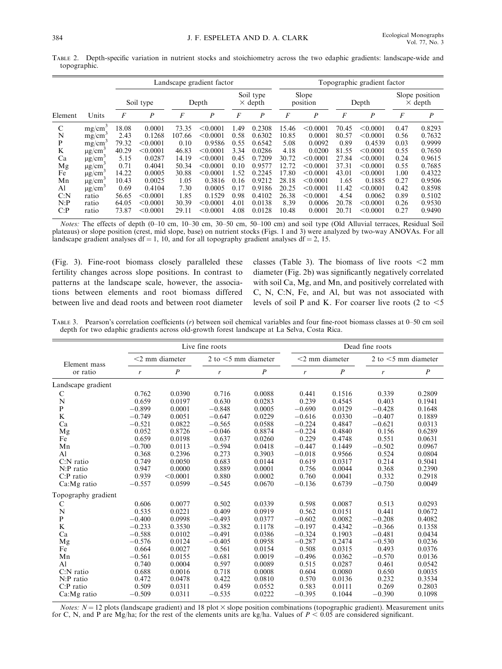TABLE 2. Depth-specific variation in nutrient stocks and stoichiometry across the two edaphic gradients: landscape-wide and topographic.

|         |                         |       |                  |                  | Landscape gradient factor |                 |                             | Topographic gradient factor |                   |       |                  |                |                                  |
|---------|-------------------------|-------|------------------|------------------|---------------------------|-----------------|-----------------------------|-----------------------------|-------------------|-------|------------------|----------------|----------------------------------|
|         |                         |       | Soil type        |                  | Depth                     |                 | Soil type<br>$\times$ depth |                             | Slope<br>position |       | Depth            |                | Slope position<br>$\times$ depth |
| Element | Units                   | F     | $\boldsymbol{P}$ | $\boldsymbol{F}$ | $\boldsymbol{P}$          | $\overline{F}$  | P                           | F                           | $\boldsymbol{P}$  | F     | $\boldsymbol{P}$ | $\overline{F}$ | $\boldsymbol{P}$                 |
| C       | mg/cm <sup>3</sup>      | 18.08 | 0.0001           | 73.35            | < 0.0001                  | L <sub>49</sub> | 0.2308                      | 15.46                       | < 0.0001          | 70.45 | < 0.0001         | 0.47           | 0.8293                           |
| N       | mg/cm <sup>3</sup>      | 2.43  | 0.1268           | 107.66           | < 0.0001                  | 0.58            | 0.6302                      | 10.85                       | 0.0001            | 80.57 | < 0.0001         | 0.56           | 0.7632                           |
| P       | mg/cm <sup>3</sup>      | 79.32 | < 0.0001         | 0.10             | 0.9586                    | 0.55            | 0.6542                      | 5.08                        | 0.0092            | 0.89  | 0.4539           | 0.03           | 0.9999                           |
| K       | $\mu$ g/cm <sup>3</sup> | 40.29 | < 0.0001         | 46.83            | < 0.0001                  | 3.34            | 0.0286                      | 4.18                        | 0.0200            | 81.55 | < 0.0001         | 0.55           | 0.7650                           |
| Ca      | $\mu$ g/cm <sup>3</sup> | 5.15  | 0.0287           | 14.19            | < 0.0001                  | 0.45            | 0.7209                      | 30.72                       | < 0.0001          | 27.84 | < 0.0001         | 0.24           | 0.9615                           |
| Mg      | $\mu$ g/cm <sup>3</sup> | 0.71  | 0.4041           | 50.34            | < 0.0001                  | 0.10            | 0.9577                      | 12.72                       | < 0.0001          | 37.31 | < 0.0001         | 0.55           | 0.7685                           |
| Fe      | $\mu$ g/cm <sup>3</sup> | 14.22 | 0.0005           | 30.88            | < 0.0001                  | 1.52            | 0.2245                      | 17.80                       | < 0.0001          | 43.01 | < 0.0001         | 1.00           | 0.4322                           |
| Mn      | $\mu$ g/cm <sup>3</sup> | 10.43 | 0.0025           | 1.05             | 0.3816                    | 0.16            | 0.9212                      | 28.18                       | < 0.0001          | 1.65  | 0.1885           | 0.27           | 0.9506                           |
| Al      | $\mu$ g/cm <sup>3</sup> | 0.69  | 0.4104           | 7.30             | 0.0005                    | 0.17            | 0.9186                      | 20.25                       | < 0.0001          | 11.42 | < 0.0001         | 0.42           | 0.8598                           |
| C: N    | ratio                   | 56.65 | < 0.0001         | 1.85             | 0.1529                    | 0.98            | 0.4102                      | 26.38                       | < 0.0001          | 4.54  | 0.0062           | 0.89           | 0.5102                           |
| N:P     | ratio                   | 64.05 | < 0.0001         | 30.39            | < 0.0001                  | 4.01            | 0.0138                      | 8.39                        | 0.0006            | 20.78 | < 0.0001         | 0.26           | 0.9530                           |
| C: P    | ratio                   | 73.87 | < 0.0001         | 29.11            | < 0.0001                  | 4.08            | 0.0128                      | 10.48                       | 0.0001            | 20.71 | < 0.0001         | 0.27           | 0.9490                           |

Notes: The effects of depth (0–10 cm, 10–30 cm, 30–50 cm, 50–100 cm) and soil type (Old Alluvial terraces, Residual Soil plateaus) or slope position (crest, mid slope, base) on nutrient stocks (Figs. 1 and 3) were analyzed by two-way ANOVAs. For all landscape gradient analyses df = 1, 10, and for all topography gradient analyses df = 2, 15.

(Fig. 3). Fine-root biomass closely paralleled these fertility changes across slope positions. In contrast to patterns at the landscape scale, however, the associations between elements and root biomass differed between live and dead roots and between root diameter classes (Table 3). The biomass of live roots  $\leq$  mm diameter (Fig. 2b) was significantly negatively correlated with soil Ca, Mg, and Mn, and positively correlated with C, N, C:N, Fe, and Al, but was not associated with levels of soil P and K. For coarser live roots  $(2 \text{ to } < 5)$ 

TABLE 3. Pearson's correlation coefficients (r) between soil chemical variables and four fine-root biomass classes at 0–50 cm soil depth for two edaphic gradients across old-growth forest landscape at La Selva, Costa Rica.

|                     |          |                   | Live fine roots        |                  |                   | Dead fine roots  |                        |                  |  |
|---------------------|----------|-------------------|------------------------|------------------|-------------------|------------------|------------------------|------------------|--|
| Element mass        |          | $<$ 2 mm diameter | 2 to $<$ 5 mm diameter |                  | $<$ 2 mm diameter |                  | 2 to $<$ 5 mm diameter |                  |  |
| or ratio            | r        | $\boldsymbol{P}$  | r                      | $\boldsymbol{P}$ | r                 | $\boldsymbol{P}$ | r                      | $\boldsymbol{P}$ |  |
| Landscape gradient  |          |                   |                        |                  |                   |                  |                        |                  |  |
| $\mathbf C$         | 0.762    | 0.0390            | 0.716                  | 0.0088           | 0.441             | 0.1516           | 0.339                  | 0.2809           |  |
| N                   | 0.659    | 0.0197            | 0.630                  | 0.0283           | 0.239             | 0.4545           | 0.403                  | 0.1941           |  |
| $\mathbf{P}$        | $-0.899$ | 0.0001            | $-0.848$               | 0.0005           | $-0.690$          | 0.0129           | $-0.428$               | 0.1648           |  |
| $\bf K$             | $-0.749$ | 0.0051            | $-0.647$               | 0.0229           | $-0.616$          | 0.0330           | $-0.407$               | 0.1889           |  |
| Ca                  | $-0.521$ | 0.0822            | $-0.565$               | 0.0588           | $-0.224$          | 0.4847           | $-0.621$               | 0.0313           |  |
| Mg                  | 0.052    | 0.8726            | $-0.046$               | 0.8874           | $-0.224$          | 0.4840           | 0.156                  | 0.6289           |  |
| Fe                  | 0.659    | 0.0198            | 0.637                  | 0.0260           | 0.229             | 0.4748           | 0.551                  | 0.0631           |  |
| Mn                  | $-0.700$ | 0.0113            | $-0.594$               | 0.0418           | $-0.447$          | 0.1449           | $-0.502$               | 0.0967           |  |
| A <sub>1</sub>      | 0.368    | 0.2396            | 0.273                  | 0.3903           | $-0.018$          | 0.9566           | 0.524                  | 0.0804           |  |
| $C:$ N ratio        | 0.749    | 0.0050            | 0.683                  | 0.0144           | 0.619             | 0.0317           | 0.214                  | 0.5041           |  |
| N:P ratio           | 0.947    | 0.0000            | 0.889                  | 0.0001           | 0.756             | 0.0044           | 0.368                  | 0.2390           |  |
| $C$ :P ratio        | 0.939    | < 0.0001          | 0.880                  | 0.0002           | 0.760             | 0.0041           | 0.332                  | 0.2918           |  |
| Ca:Mg ratio         | $-0.557$ | 0.0599            | $-0.545$               | 0.0670           | $-0.136$          | 0.6739           | $-0.750$               | 0.0049           |  |
| Topography gradient |          |                   |                        |                  |                   |                  |                        |                  |  |
| С                   | 0.606    | 0.0077            | 0.502                  | 0.0339           | 0.598             | 0.0087           | 0.513                  | 0.0293           |  |
| N                   | 0.535    | 0.0221            | 0.409                  | 0.0919           | 0.562             | 0.0151           | 0.441                  | 0.0672           |  |
| $\mathbf{P}$        | $-0.400$ | 0.0998            | $-0.493$               | 0.0377           | $-0.602$          | 0.0082           | $-0.208$               | 0.4082           |  |
| K                   | $-0.233$ | 0.3530            | $-0.382$               | 0.1178           | $-0.197$          | 0.4342           | $-0.366$               | 0.1358           |  |
| Ca                  | $-0.588$ | 0.0102            | $-0.491$               | 0.0386           | $-0.324$          | 0.1903           | $-0.481$               | 0.0434           |  |
| Mg                  | $-0.576$ | 0.0124            | $-0.405$               | 0.0958           | $-0.287$          | 0.2474           | $-0.530$               | 0.0236           |  |
| Fe                  | 0.664    | 0.0027            | 0.561                  | 0.0154           | 0.508             | 0.0315           | 0.493                  | 0.0376           |  |
| Mn                  | $-0.561$ | 0.0155            | $-0.681$               | 0.0019           | $-0.496$          | 0.0362           | $-0.570$               | 0.0136           |  |
| Al                  | 0.740    | 0.0004            | 0.597                  | 0.0089           | 0.515             | 0.0287           | 0.461                  | 0.0542           |  |
| $C:N$ ratio         | 0.688    | 0.0016            | 0.718                  | 0.0008           | 0.604             | 0.0080           | 0.650                  | 0.0035           |  |
| $N$ :P ratio        | 0.472    | 0.0478            | 0.422                  | 0.0810           | 0.570             | 0.0136           | 0.232                  | 0.3534           |  |
| $C$ :P ratio        | 0.509    | 0.0311            | 0.459                  | 0.0552           | 0.583             | 0.0111           | 0.269                  | 0.2803           |  |
| Ca:Mg ratio         | $-0.509$ | 0.0311            | $-0.535$               | 0.0222           | $-0.395$          | 0.1044           | $-0.390$               | 0.1098           |  |

Notes:  $N = 12$  plots (landscape gradient) and 18 plot  $\times$  slope position combinations (topographic gradient). Measurement units for C, N, and P are Mg/ha; for the rest of the elements units are kg/ha. Values of  $P < 0.05$  are considered significant.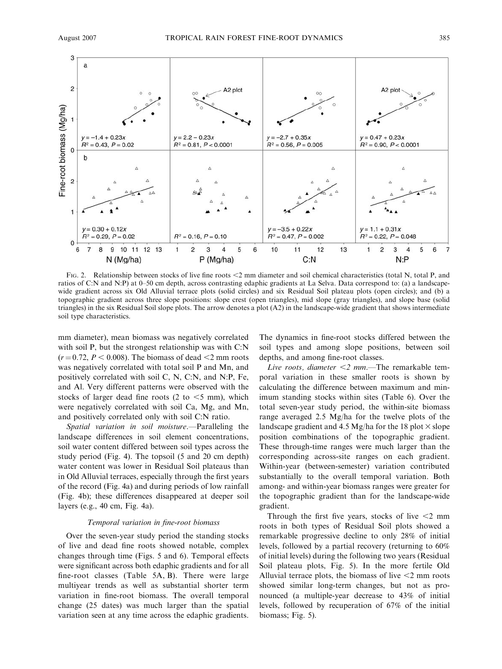

FIG. 2. Relationship between stocks of live fine roots <2 mm diameter and soil chemical characteristics (total N, total P, and ratios of C:N and N:P) at 0–50 cm depth, across contrasting edaphic gradients at La Selva. Data correspond to: (a) a landscapewide gradient across six Old Alluvial terrace plots (solid circles) and six Residual Soil plateau plots (open circles); and (b) a topographic gradient across three slope positions: slope crest (open triangles), mid slope (gray triangles), and slope base (solid triangles) in the six Residual Soil slope plots. The arrow denotes a plot (A2) in the landscape-wide gradient that shows intermediate soil type characteristics.

mm diameter), mean biomass was negatively correlated with soil P, but the strongest relationship was with C:N  $(r=0.72, P < 0.008)$ . The biomass of dead  $<$ 2 mm roots was negatively correlated with total soil P and Mn, and positively correlated with soil C, N, C:N, and N:P, Fe, and Al. Very different patterns were observed with the stocks of larger dead fine roots (2 to  $\leq$ 5 mm), which were negatively correlated with soil Ca, Mg, and Mn, and positively correlated only with soil C:N ratio.

Spatial variation in soil moisture.—Paralleling the landscape differences in soil element concentrations, soil water content differed between soil types across the study period (Fig. 4). The topsoil (5 and 20 cm depth) water content was lower in Residual Soil plateaus than in Old Alluvial terraces, especially through the first years of the record (Fig. 4a) and during periods of low rainfall (Fig. 4b); these differences disappeared at deeper soil layers (e.g., 40 cm, Fig. 4a).

#### Temporal variation in fine-root biomass

Over the seven-year study period the standing stocks of live and dead fine roots showed notable, complex changes through time (Figs. 5 and 6). Temporal effects were significant across both edaphic gradients and for all fine-root classes (Table 5A, B). There were large multiyear trends as well as substantial shorter term variation in fine-root biomass. The overall temporal change (25 dates) was much larger than the spatial variation seen at any time across the edaphic gradients.

The dynamics in fine-root stocks differed between the soil types and among slope positions, between soil depths, and among fine-root classes.

Live roots, diameter  $\leq 2$  mm.—The remarkable temporal variation in these smaller roots is shown by calculating the difference between maximum and minimum standing stocks within sites (Table 6). Over the total seven-year study period, the within-site biomass range averaged 2.5 Mg/ha for the twelve plots of the landscape gradient and 4.5 Mg/ha for the 18 plot  $\times$  slope position combinations of the topographic gradient. These through-time ranges were much larger than the corresponding across-site ranges on each gradient. Within-year (between-semester) variation contributed substantially to the overall temporal variation. Both among- and within-year biomass ranges were greater for the topographic gradient than for the landscape-wide gradient.

Through the first five years, stocks of live  $\leq 2$  mm roots in both types of Residual Soil plots showed a remarkable progressive decline to only 28% of initial levels, followed by a partial recovery (returning to 60% of initial levels) during the following two years (Residual Soil plateau plots, Fig. 5). In the more fertile Old Alluvial terrace plots, the biomass of live  $\leq$  2 mm roots showed similar long-term changes, but not as pronounced (a multiple-year decrease to 43% of initial levels, followed by recuperation of 67% of the initial biomass; Fig. 5).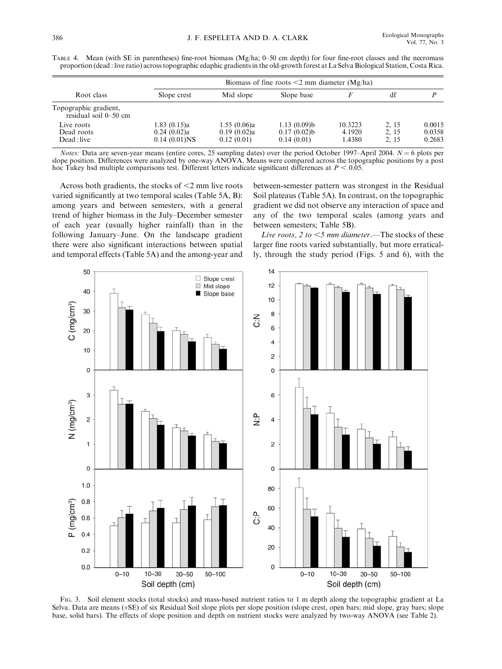|                                                | Biomass of fine roots $\leq$ 2 mm diameter (Mg/ha) |                                          |                                          |                             |                       |                            |  |  |  |
|------------------------------------------------|----------------------------------------------------|------------------------------------------|------------------------------------------|-----------------------------|-----------------------|----------------------------|--|--|--|
| Root class                                     | Slope crest                                        | Mid slope                                | Slope base                               |                             | df                    |                            |  |  |  |
| Topographic gradient,<br>residual soil 0–50 cm |                                                    |                                          |                                          |                             |                       |                            |  |  |  |
| Live roots<br>Dead roots<br>Dead : live        | 1.83(0.15)a<br>0.24(0.02)a<br>$0.14(0.01)$ NS      | 1.55(0.06)a<br>0.19(0.02)a<br>0.12(0.01) | 1.13(0.09)b<br>0.17(0.02)b<br>0.14(0.01) | 10.3223<br>4.1920<br>1.4380 | 2.15<br>2.15<br>2, 15 | 0.0015<br>0.0358<br>0.2683 |  |  |  |

TABLE 4. Mean (with SE in parentheses) fine-root biomass (Mg/ha; 0–50 cm depth) for four fine-root classes and the necromass proportion (dead : live ratio) across topographic edaphic gradients in the old-growth forest at La Selva Biological Station, Costa Rica.

Notes: Data are seven-year means (entire cores, 25 sampling dates) over the period October 1997–April 2004.  $N = 6$  plots per slope position. Differences were analyzed by one-way ANOVA. Means were compared across the topographic positions by a post hoc Tukey hsd multiple comparisons test. Different letters indicate significant differences at  $P < 0.05$ .

Across both gradients, the stocks of  $\leq$ 2 mm live roots varied significantly at two temporal scales (Table 5A, B): among years and between semesters, with a general trend of higher biomass in the July–December semester of each year (usually higher rainfall) than in the following January–June. On the landscape gradient there were also significant interactions between spatial and temporal effects (Table 5A) and the among-year and between-semester pattern was strongest in the Residual Soil plateaus (Table 5A). In contrast, on the topographic gradient we did not observe any interaction of space and any of the two temporal scales (among years and between semesters; Table 5B).

Live roots, 2 to  $<$ 5 mm diameter.—The stocks of these larger fine roots varied substantially, but more erratically, through the study period (Figs. 5 and 6), with the



FIG. 3. Soil element stocks (total stocks) and mass-based nutrient ratios to 1 m depth along the topographic gradient at La Selva. Data are means (+SE) of six Residual Soil slope plots per slope position (slope crest, open bars; mid slope, gray bars; slope base, solid bars). The effects of slope position and depth on nutrient stocks were analyzed by two-way ANOVA (see Table 2).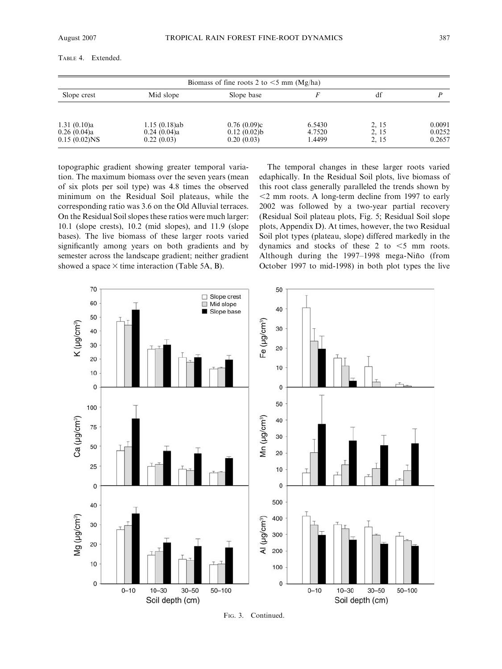| Biomass of fine roots 2 to $\leq$ 5 mm (Mg/ha) |                                              |                                          |                            |                        |                            |  |  |  |
|------------------------------------------------|----------------------------------------------|------------------------------------------|----------------------------|------------------------|----------------------------|--|--|--|
| Slope crest                                    | Mid slope                                    | Slope base                               |                            | df                     |                            |  |  |  |
| 1.31(0.10)a<br>0.26(0.04)a<br>$0.15(0.02)$ NS  | $1.15(0.18)$ ab<br>0.24(0.04)a<br>0.22(0.03) | 0.76(0.09)c<br>0.12(0.02)b<br>0.20(0.03) | 6.5430<br>4.7520<br>1.4499 | 2.15<br>2, 15<br>2, 15 | 0.0091<br>0.0252<br>0.2657 |  |  |  |

TABLE 4. Extended.

topographic gradient showing greater temporal variation. The maximum biomass over the seven years (mean of six plots per soil type) was 4.8 times the observed minimum on the Residual Soil plateaus, while the corresponding ratio was 3.6 on the Old Alluvial terraces. On the Residual Soil slopes these ratios were much larger: 10.1 (slope crests), 10.2 (mid slopes), and 11.9 (slope bases). The live biomass of these larger roots varied significantly among years on both gradients and by semester across the landscape gradient; neither gradient showed a space  $\times$  time interaction (Table 5A, B).

The temporal changes in these larger roots varied edaphically. In the Residual Soil plots, live biomass of this root class generally paralleled the trends shown by  $\leq$  2 mm roots. A long-term decline from 1997 to early 2002 was followed by a two-year partial recovery (Residual Soil plateau plots, Fig. 5; Residual Soil slope plots, Appendix D). At times, however, the two Residual Soil plot types (plateau, slope) differed markedly in the dynamics and stocks of these 2 to  $\leq$ 5 mm roots. Although during the 1997–1998 mega-Niño (from October 1997 to mid-1998) in both plot types the live



FIG. 3. Continued.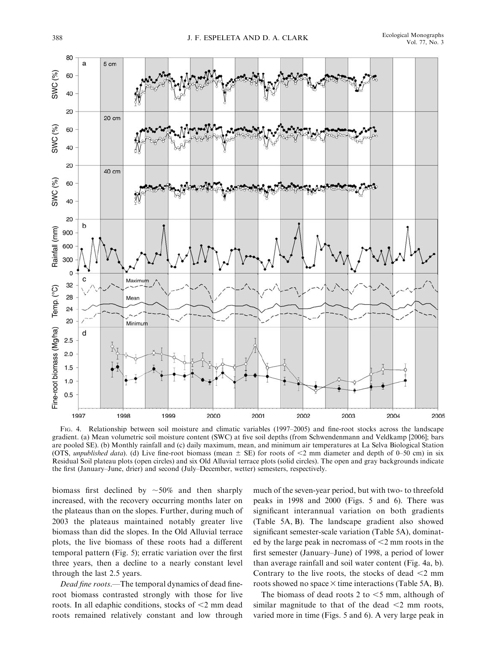

FIG. 4. Relationship between soil moisture and climatic variables (1997–2005) and fine-root stocks across the landscape gradient. (a) Mean volumetric soil moisture content (SWC) at five soil depths (from Schwendenmann and Veldkamp [2006]; bars are pooled SE). (b) Monthly rainfall and (c) daily maximum, mean, and minimum air temperatures at La Selva Biological Station (OTS, *unpublished data*). (d) Live fine-root biomass (mean  $\pm$  SE) for roots of <2 mm diameter and depth of 0–50 cm) in six Residual Soil plateau plots (open circles) and six Old Alluvial terrace plots (solid circles). The open and gray backgrounds indicate the first (January–June, drier) and second (July–December, wetter) semesters, respectively.

biomass first declined by  $\sim 50\%$  and then sharply increased, with the recovery occurring months later on the plateaus than on the slopes. Further, during much of 2003 the plateaus maintained notably greater live biomass than did the slopes. In the Old Alluvial terrace plots, the live biomass of these roots had a different temporal pattern (Fig. 5); erratic variation over the first three years, then a decline to a nearly constant level through the last 2.5 years.

Dead fine roots.—The temporal dynamics of dead fineroot biomass contrasted strongly with those for live roots. In all edaphic conditions, stocks of  $\leq$ 2 mm dead roots remained relatively constant and low through

much of the seven-year period, but with two- to threefold peaks in 1998 and 2000 (Figs. 5 and 6). There was significant interannual variation on both gradients (Table 5A, B). The landscape gradient also showed significant semester-scale variation (Table 5A), dominated by the large peak in necromass of  $\leq$ 2 mm roots in the first semester (January–June) of 1998, a period of lower than average rainfall and soil water content (Fig. 4a, b). Contrary to the live roots, the stocks of dead  $\leq$  mm roots showed no space  $\times$  time interactions (Table 5A, B).

The biomass of dead roots 2 to  $<$  5 mm, although of similar magnitude to that of the dead  $\leq$  2 mm roots, varied more in time (Figs. 5 and 6). A very large peak in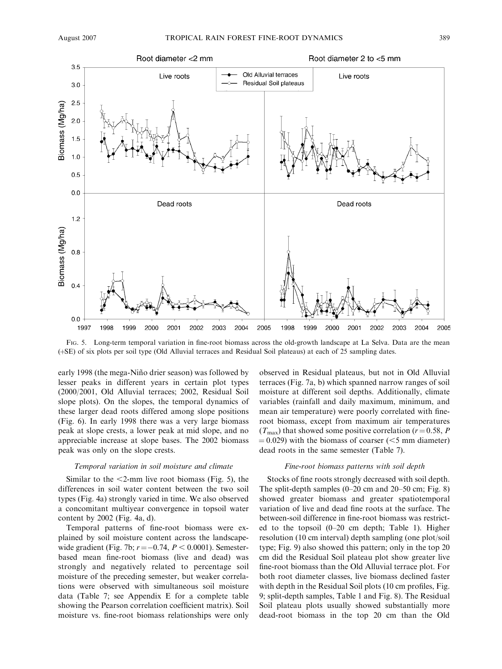

FIG. 5. Long-term temporal variation in fine-root biomass across the old-growth landscape at La Selva. Data are the mean (þSE) of six plots per soil type (Old Alluvial terraces and Residual Soil plateaus) at each of 25 sampling dates.

early 1998 (the mega-Niño drier season) was followed by lesser peaks in different years in certain plot types (2000/2001, Old Alluvial terraces; 2002, Residual Soil slope plots). On the slopes, the temporal dynamics of these larger dead roots differed among slope positions (Fig. 6). In early 1998 there was a very large biomass peak at slope crests, a lower peak at mid slope, and no appreciable increase at slope bases. The 2002 biomass peak was only on the slope crests.

#### Temporal variation in soil moisture and climate

Similar to the  $\leq$ 2-mm live root biomass (Fig. 5), the differences in soil water content between the two soil types (Fig. 4a) strongly varied in time. We also observed a concomitant multiyear convergence in topsoil water content by 2002 (Fig. 4a, d).

Temporal patterns of fine-root biomass were explained by soil moisture content across the landscapewide gradient (Fig. 7b;  $r = -0.74$ ,  $P < 0.0001$ ). Semesterbased mean fine-root biomass (live and dead) was strongly and negatively related to percentage soil moisture of the preceding semester, but weaker correlations were observed with simultaneous soil moisture data (Table 7; see Appendix E for a complete table showing the Pearson correlation coefficient matrix). Soil moisture vs. fine-root biomass relationships were only

observed in Residual plateaus, but not in Old Alluvial terraces (Fig. 7a, b) which spanned narrow ranges of soil moisture at different soil depths. Additionally, climate variables (rainfall and daily maximum, minimum, and mean air temperature) were poorly correlated with fineroot biomass, except from maximum air temperatures  $(T_{\text{max}})$  that showed some positive correlation ( $r = 0.58$ , P  $(0.029)$  with the biomass of coarser ( $(5 \text{ mm diameter})$ ) dead roots in the same semester (Table 7).

#### Fine-root biomass patterns with soil depth

Stocks of fine roots strongly decreased with soil depth. The split-depth samples (0–20 cm and 20–50 cm; Fig. 8) showed greater biomass and greater spatiotemporal variation of live and dead fine roots at the surface. The between-soil difference in fine-root biomass was restricted to the topsoil (0–20 cm depth; Table 1). Higher resolution (10 cm interval) depth sampling (one plot/soil type; Fig. 9) also showed this pattern; only in the top 20 cm did the Residual Soil plateau plot show greater live fine-root biomass than the Old Alluvial terrace plot. For both root diameter classes, live biomass declined faster with depth in the Residual Soil plots (10 cm profiles, Fig. 9; split-depth samples, Table 1 and Fig. 8). The Residual Soil plateau plots usually showed substantially more dead-root biomass in the top 20 cm than the Old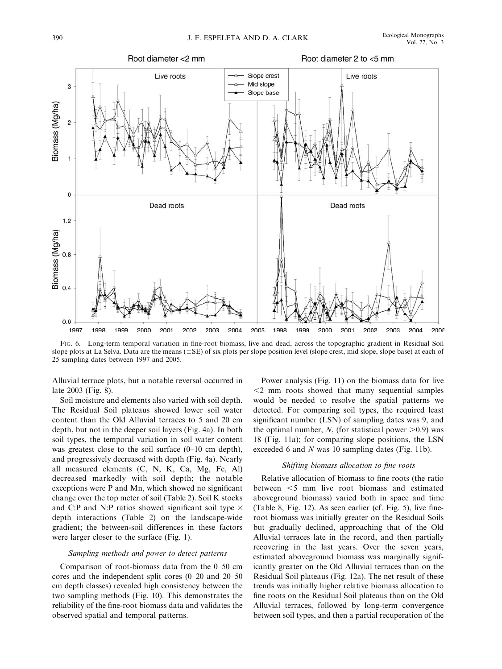

FIG. 6. Long-term temporal variation in fine-root biomass, live and dead, across the topographic gradient in Residual Soil slope plots at La Selva. Data are the means  $(\pm SE)$  of six plots per slope position level (slope crest, mid slope, slope base) at each of 25 sampling dates between 1997 and 2005.

Alluvial terrace plots, but a notable reversal occurred in late 2003 (Fig. 8).

Soil moisture and elements also varied with soil depth. The Residual Soil plateaus showed lower soil water content than the Old Alluvial terraces to 5 and 20 cm depth, but not in the deeper soil layers (Fig. 4a). In both soil types, the temporal variation in soil water content was greatest close to the soil surface  $(0-10 \text{ cm depth})$ , and progressively decreased with depth (Fig. 4a). Nearly all measured elements (C, N, K, Ca, Mg, Fe, Al) decreased markedly with soil depth; the notable exceptions were P and Mn, which showed no significant change over the top meter of soil (Table 2). Soil K stocks and C:P and N:P ratios showed significant soil type  $\times$ depth interactions (Table 2) on the landscape-wide gradient; the between-soil differences in these factors were larger closer to the surface (Fig. 1).

#### Sampling methods and power to detect patterns

Comparison of root-biomass data from the 0–50 cm cores and the independent split cores (0–20 and 20–50 cm depth classes) revealed high consistency between the two sampling methods (Fig. 10). This demonstrates the reliability of the fine-root biomass data and validates the observed spatial and temporal patterns.

Power analysis (Fig. 11) on the biomass data for live  $<$ 2 mm roots showed that many sequential samples would be needed to resolve the spatial patterns we detected. For comparing soil types, the required least significant number (LSN) of sampling dates was 9, and the optimal number, N, (for statistical power  $>0.9$ ) was 18 (Fig. 11a); for comparing slope positions, the LSN exceeded 6 and N was 10 sampling dates (Fig. 11b).

### Shifting biomass allocation to fine roots

Relative allocation of biomass to fine roots (the ratio between  $\leq$  mm live root biomass and estimated aboveground biomass) varied both in space and time (Table 8, Fig. 12). As seen earlier (cf. Fig. 5), live fineroot biomass was initially greater on the Residual Soils but gradually declined, approaching that of the Old Alluvial terraces late in the record, and then partially recovering in the last years. Over the seven years, estimated aboveground biomass was marginally significantly greater on the Old Alluvial terraces than on the Residual Soil plateaus (Fig. 12a). The net result of these trends was initially higher relative biomass allocation to fine roots on the Residual Soil plateaus than on the Old Alluvial terraces, followed by long-term convergence between soil types, and then a partial recuperation of the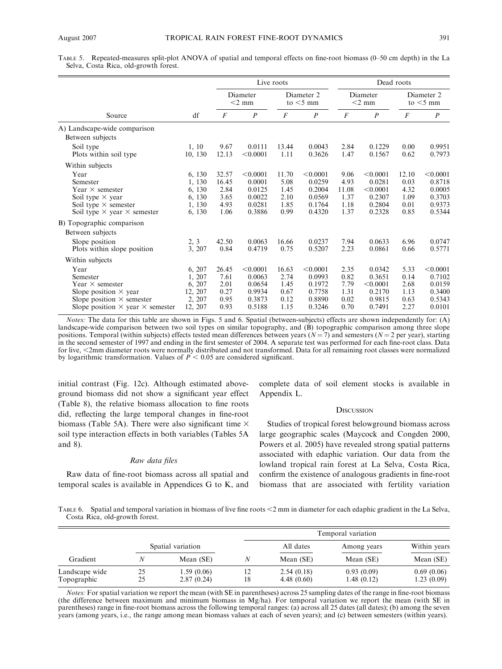TABLE 5. Repeated-measures split-plot ANOVA of spatial and temporal effects on fine-root biomass (0–50 cm depth) in the La Selva, Costa Rica, old-growth forest.

|                                                                                                                                                                                                                                                     |                                                                            |                                                                 | Live roots                                                                     |                                                                |                                                                                |                                                               | Dead roots                                                                       |                                                               |                                                                                |  |
|-----------------------------------------------------------------------------------------------------------------------------------------------------------------------------------------------------------------------------------------------------|----------------------------------------------------------------------------|-----------------------------------------------------------------|--------------------------------------------------------------------------------|----------------------------------------------------------------|--------------------------------------------------------------------------------|---------------------------------------------------------------|----------------------------------------------------------------------------------|---------------------------------------------------------------|--------------------------------------------------------------------------------|--|
|                                                                                                                                                                                                                                                     |                                                                            |                                                                 | Diameter 2<br>Diameter<br>$<$ 2 mm<br>to $<$ 5 mm                              |                                                                |                                                                                | Diameter<br>$<$ 2 mm                                          |                                                                                  | Diameter 2<br>to $<$ 5 mm                                     |                                                                                |  |
| Source                                                                                                                                                                                                                                              | df                                                                         | $\overline{F}$                                                  | $\boldsymbol{P}$                                                               | $\overline{F}$                                                 | $\boldsymbol{P}$                                                               | $\overline{F}$                                                | $\boldsymbol{P}$                                                                 | $\overline{F}$                                                | $\boldsymbol{P}$                                                               |  |
| A) Landscape-wide comparison                                                                                                                                                                                                                        |                                                                            |                                                                 |                                                                                |                                                                |                                                                                |                                                               |                                                                                  |                                                               |                                                                                |  |
| Between subjects                                                                                                                                                                                                                                    |                                                                            |                                                                 |                                                                                |                                                                |                                                                                |                                                               |                                                                                  |                                                               |                                                                                |  |
| Soil type<br>Plots within soil type                                                                                                                                                                                                                 | 1.10<br>10, 130                                                            | 9.67<br>12.13                                                   | 0.0111<br>< 0.0001                                                             | 13.44<br>1.11                                                  | 0.0043<br>0.3626                                                               | 2.84<br>1.47                                                  | 0.1229<br>0.1567                                                                 | 0.00<br>0.62                                                  | 0.9951<br>0.7973                                                               |  |
| Within subjects                                                                                                                                                                                                                                     |                                                                            |                                                                 |                                                                                |                                                                |                                                                                |                                                               |                                                                                  |                                                               |                                                                                |  |
| Year<br>Semester<br>Year $\times$ semester<br>Soil type $\times$ year<br>Soil type $\times$ semester<br>Soil type $\times$ year $\times$ semester<br>B) Topographic comparison<br>Between subjects<br>Slope position<br>Plots within slope position | 6, 130<br>1, 130<br>6, 130<br>6, 130<br>1, 130<br>6, 130<br>2, 3<br>3, 207 | 32.57<br>16.45<br>2.84<br>3.65<br>4.93<br>1.06<br>42.50<br>0.84 | < 0.0001<br>0.0001<br>0.0125<br>0.0022<br>0.0281<br>0.3886<br>0.0063<br>0.4719 | 11.70<br>5.08<br>1.45<br>2.10<br>1.85<br>0.99<br>16.66<br>0.75 | < 0.0001<br>0.0259<br>0.2004<br>0.0569<br>0.1764<br>0.4320<br>0.0237<br>0.5207 | 9.06<br>4.93<br>11.08<br>1.37<br>1.18<br>1.37<br>7.94<br>2.23 | < 0.0001<br>0.0281<br>< 0.0001<br>0.2307<br>0.2804<br>0.2328<br>0.0633<br>0.0861 | 12.10<br>0.03<br>4.32<br>1.09<br>0.01<br>0.85<br>6.96<br>0.66 | < 0.0001<br>0.8718<br>0.0005<br>0.3703<br>0.9373<br>0.5344<br>0.0747<br>0.5771 |  |
| Within subjects<br>Year<br>Semester                                                                                                                                                                                                                 | 6, 207<br>1, 207                                                           | 26.45<br>7.61                                                   | < 0.0001<br>0.0063                                                             | 16.63<br>2.74                                                  | < 0.0001<br>0.0993                                                             | 2.35<br>0.82                                                  | 0.0342<br>0.3651                                                                 | 5.33<br>0.14                                                  | < 0.0001<br>0.7102                                                             |  |
| Year $\times$ semester<br>Slope position $\times$ year<br>Slope position $\times$ semester<br>Slope position $\times$ year $\times$ semester                                                                                                        | 6, 207<br>12, 207<br>2, 207<br>12, 207                                     | 2.01<br>0.27<br>0.95<br>0.93                                    | 0.0654<br>0.9934<br>0.3873<br>0.5188                                           | 1.45<br>0.67<br>0.12<br>1.15                                   | 0.1972<br>0.7758<br>0.8890<br>0.3246                                           | 7.79<br>1.31<br>0.02<br>0.70                                  | < 0.0001<br>0.2170<br>0.9815<br>0.7491                                           | 2.68<br>1.13<br>0.63<br>2.27                                  | 0.0159<br>0.3400<br>0.5343<br>0.0101                                           |  |

Notes: The data for this table are shown in Figs. 5 and 6. Spatial (between-subjects) effects are shown independently for: (A) landscape-wide comparison between two soil types on similar topography, and (B) topographic comparison among three slope positions. Temporal (within subjects) effects tested mean differences between years ( $N = 7$ ) and semesters ( $N = 2$  per year), starting in the second semester of 1997 and ending in the first semester of 2004. A separate test was performed for each fine-root class. Data for live, <2mm diameter roots were normally distributed and not transformed. Data for all remaining root classes were normalized by logarithmic transformation. Values of  $P < 0.05$  are considered significant.

initial contrast (Fig. 12c). Although estimated aboveground biomass did not show a significant year effect (Table 8), the relative biomass allocation to fine roots did, reflecting the large temporal changes in fine-root biomass (Table 5A). There were also significant time  $\times$ soil type interaction effects in both variables (Tables 5A and 8).

#### Raw data files

Raw data of fine-root biomass across all spatial and temporal scales is available in Appendices G to K, and complete data of soil element stocks is available in Appendix L.

#### **DISCUSSION**

Studies of tropical forest belowground biomass across large geographic scales (Maycock and Congden 2000, Powers et al. 2005) have revealed strong spatial patterns associated with edaphic variation. Our data from the lowland tropical rain forest at La Selva, Costa Rica, confirm the existence of analogous gradients in fine-root biomass that are associated with fertility variation

TABLE 6. Spatial and temporal variation in biomass of live fine roots <2 mm in diameter for each edaphic gradient in the La Selva, Costa Rica, old-growth forest.

|                               |          |                          |          |                          | Temporal variation       |                          |
|-------------------------------|----------|--------------------------|----------|--------------------------|--------------------------|--------------------------|
|                               |          | Spatial variation        |          | All dates                | Among years              | Within years             |
| Gradient                      |          | Mean (SE)                | N        | Mean (SE)                | Mean (SE)                | Mean (SE)                |
| Landscape wide<br>Topographic | 25<br>25 | 1.59(0.06)<br>2.87(0.24) | 12<br>18 | 2.54(0.18)<br>4.48(0.60) | 0.93(0.09)<br>1.48(0.12) | 0.69(0.06)<br>1.23(0.09) |

Notes: For spatial variation we report the mean (with SE in parentheses) across 25 sampling dates of the range in fine-root biomass (the difference between maximum and minimum biomass in Mg/ha). For temporal variation we report the mean (with SE in parentheses) range in fine-root biomass across the following temporal ranges: (a) across all 25 dates (all dates); (b) among the seven years (among years, i.e., the range among mean biomass values at each of seven years); and (c) between semesters (within years).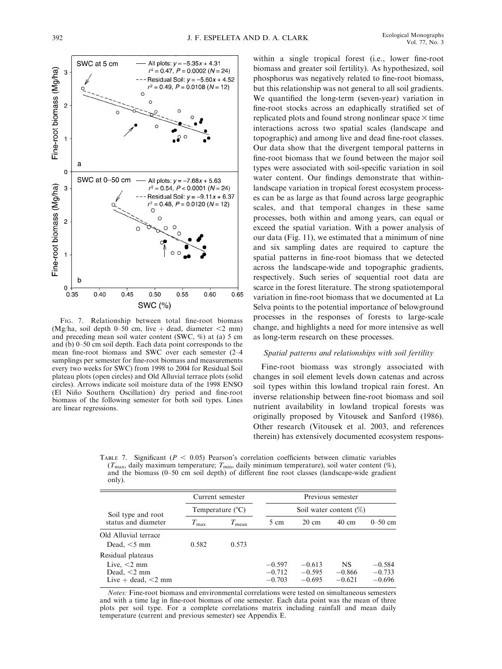

FIG. 7. Relationship between total fine-root biomass (Mg/ha, soil depth 0–50 cm, live + dead, diameter  $\leq$ 2 mm) and preceding mean soil water content (SWC, %) at (a) 5 cm and (b) 0–50 cm soil depth. Each data point corresponds to the mean fine-root biomass and SWC over each semester (2–4 samplings per semester for fine-root biomass and measurements every two weeks for SWC) from 1998 to 2004 for Residual Soil plateau plots (open circles) and Old Alluvial terrace plots (solid circles). Arrows indicate soil moisture data of the 1998 ENSO (El Nin˜o Southern Oscillation) dry period and fine-root biomass of the following semester for both soil types. Lines are linear regressions.

within a single tropical forest (i.e., lower fine-root biomass and greater soil fertility). As hypothesized, soil phosphorus was negatively related to fine-root biomass, but this relationship was not general to all soil gradients. We quantified the long-term (seven-year) variation in fine-root stocks across an edaphically stratified set of replicated plots and found strong nonlinear space  $\times$  time interactions across two spatial scales (landscape and topographic) and among live and dead fine-root classes. Our data show that the divergent temporal patterns in fine-root biomass that we found between the major soil types were associated with soil-specific variation in soil water content. Our findings demonstrate that withinlandscape variation in tropical forest ecosystem processes can be as large as that found across large geographic scales, and that temporal changes in these same processes, both within and among years, can equal or exceed the spatial variation. With a power analysis of our data (Fig. 11), we estimated that a minimum of nine and six sampling dates are required to capture the spatial patterns in fine-root biomass that we detected across the landscape-wide and topographic gradients, respectively. Such series of sequential root data are scarce in the forest literature. The strong spatiotemporal variation in fine-root biomass that we documented at La Selva points to the potential importance of belowground processes in the responses of forests to large-scale change, and highlights a need for more intensive as well as long-term research on these processes.

# Spatial patterns and relationships with soil fertility

Fine-root biomass was strongly associated with changes in soil element levels down catenas and across soil types within this lowland tropical rain forest. An inverse relationship between fine-root biomass and soil nutrient availability in lowland tropical forests was originally proposed by Vitousek and Sanford (1986). Other research (Vitousek et al. 2003, and references therein) has extensively documented ecosystem respons-

TABLE 7. Significant ( $P < 0.05$ ) Pearson's correlation coefficients between climatic variables  $(T_{\text{max}})$ , daily maximum temperature;  $T_{\text{min}}$ , daily minimum temperature), soil water content (%), and the biomass (0–50 cm soil depth) of different fine root classes (landscape-wide gradient only).

|                                                                                     | Current semester |                           | Previous semester                |                                  |                                   |                                  |  |  |  |
|-------------------------------------------------------------------------------------|------------------|---------------------------|----------------------------------|----------------------------------|-----------------------------------|----------------------------------|--|--|--|
| Soil type and root<br>status and diameter                                           |                  | Temperature $(^{\circ}C)$ |                                  |                                  | Soil water content $(\%)$         |                                  |  |  |  |
|                                                                                     | $T_{\rm max}$    | $T_{\rm mean}$            | 5 cm                             | $20 \text{ cm}$                  | $40 \text{ cm}$                   | $0 - 50$ cm                      |  |  |  |
| Old Alluvial terrace<br>Dead, $<$ 5 mm                                              | 0.582            | 0.573                     |                                  |                                  |                                   |                                  |  |  |  |
| Residual plateaus<br>Live, $<$ 2 mm<br>Dead, $<$ 2 mm<br>Live $+$ dead, $\leq$ 2 mm |                  |                           | $-0.597$<br>$-0.712$<br>$-0.703$ | $-0.613$<br>$-0.595$<br>$-0.695$ | <b>NS</b><br>$-0.866$<br>$-0.621$ | $-0.584$<br>$-0.733$<br>$-0.696$ |  |  |  |

Notes: Fine-root biomass and environmental correlations were tested on simultaneous semesters and with a time lag in fine-root biomass of one semester. Each data point was the mean of three plots per soil type. For a complete correlations matrix including rainfall and mean daily temperature (current and previous semester) see Appendix E.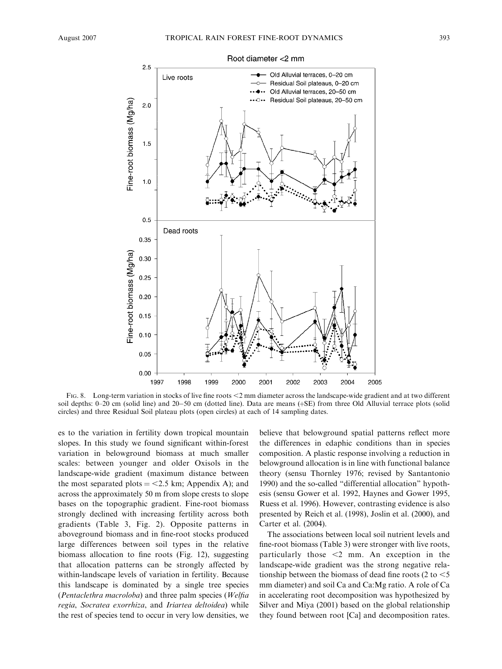

FIG. 8. Long-term variation in stocks of live fine roots <2 mm diameter across the landscape-wide gradient and at two different soil depths: 0–20 cm (solid line) and 20–50 cm (dotted line). Data are means (+SE) from three Old Alluvial terrace plots (solid circles) and three Residual Soil plateau plots (open circles) at each of 14 sampling dates.

es to the variation in fertility down tropical mountain slopes. In this study we found significant within-forest variation in belowground biomass at much smaller scales: between younger and older Oxisols in the landscape-wide gradient (maximum distance between the most separated plots  $=$  <2.5 km; Appendix A); and across the approximately 50 m from slope crests to slope bases on the topographic gradient. Fine-root biomass strongly declined with increasing fertility across both gradients (Table 3, Fig. 2). Opposite patterns in aboveground biomass and in fine-root stocks produced large differences between soil types in the relative biomass allocation to fine roots (Fig. 12), suggesting that allocation patterns can be strongly affected by within-landscape levels of variation in fertility. Because this landscape is dominated by a single tree species (Pentaclethra macroloba) and three palm species (Welfia regia, Socratea exorrhiza, and Iriartea deltoidea) while the rest of species tend to occur in very low densities, we believe that belowground spatial patterns reflect more the differences in edaphic conditions than in species composition. A plastic response involving a reduction in belowground allocation is in line with functional balance theory (sensu Thornley 1976; revised by Santantonio 1990) and the so-called ''differential allocation'' hypothesis (sensu Gower et al. 1992, Haynes and Gower 1995, Ruess et al. 1996). However, contrasting evidence is also presented by Reich et al. (1998), Joslin et al. (2000), and Carter et al. (2004).

The associations between local soil nutrient levels and fine-root biomass (Table 3) were stronger with live roots, particularly those  $\leq 2$  mm. An exception in the landscape-wide gradient was the strong negative relationship between the biomass of dead fine roots (2 to  $<$  5 mm diameter) and soil Ca and Ca:Mg ratio. A role of Ca in accelerating root decomposition was hypothesized by Silver and Miya (2001) based on the global relationship they found between root [Ca] and decomposition rates.

Root diameter <2 mm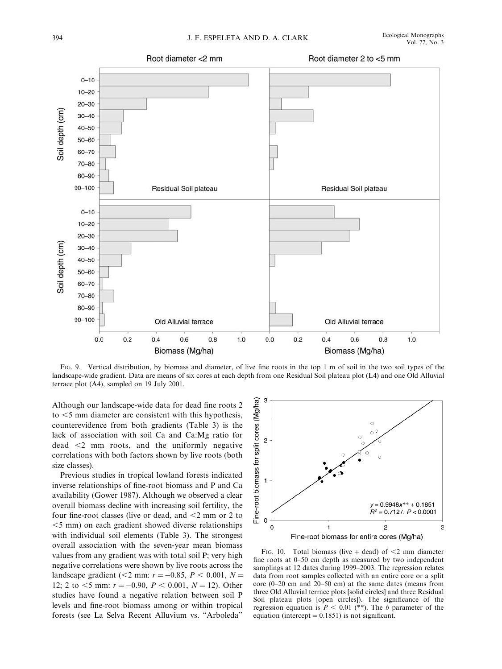

FIG. 9. Vertical distribution, by biomass and diameter, of live fine roots in the top 1 m of soil in the two soil types of the landscape-wide gradient. Data are means of six cores at each depth from one Residual Soil plateau plot (L4) and one Old Alluvial terrace plot (A4), sampled on 19 July 2001.

Although our landscape-wide data for dead fine roots 2 to  $<$  5 mm diameter are consistent with this hypothesis, counterevidence from both gradients (Table 3) is the lack of association with soil Ca and Ca:Mg ratio for  $dead \leq 2$  mm roots, and the uniformly negative correlations with both factors shown by live roots (both size classes).

Previous studies in tropical lowland forests indicated inverse relationships of fine-root biomass and P and Ca availability (Gower 1987). Although we observed a clear overall biomass decline with increasing soil fertility, the four fine-root classes (live or dead, and  $\leq$  2 mm or 2 to  $<$ 5 mm) on each gradient showed diverse relationships with individual soil elements (Table 3). The strongest overall association with the seven-year mean biomass values from any gradient was with total soil P; very high negative correlations were shown by live roots across the landscape gradient (<2 mm:  $r = -0.85$ ,  $P < 0.001$ ,  $N =$ 12; 2 to  $\leq$  mm:  $r = -0.90$ ,  $P \leq 0.001$ ,  $N = 12$ ). Other studies have found a negative relation between soil P levels and fine-root biomass among or within tropical forests (see La Selva Recent Alluvium vs. ''Arboleda''



FIG. 10. Total biomass (live  $+$  dead) of  $<$ 2 mm diameter fine roots at 0–50 cm depth as measured by two independent samplings at 12 dates during 1999–2003. The regression relates data from root samples collected with an entire core or a split core (0–20 cm and 20–50 cm) at the same dates (means from three Old Alluvial terrace plots [solid circles] and three Residual Soil plateau plots [open circles]). The significance of the regression equation is  $P < 0.01$  (\*\*). The b parameter of the equation (intercept  $= 0.1851$ ) is not significant.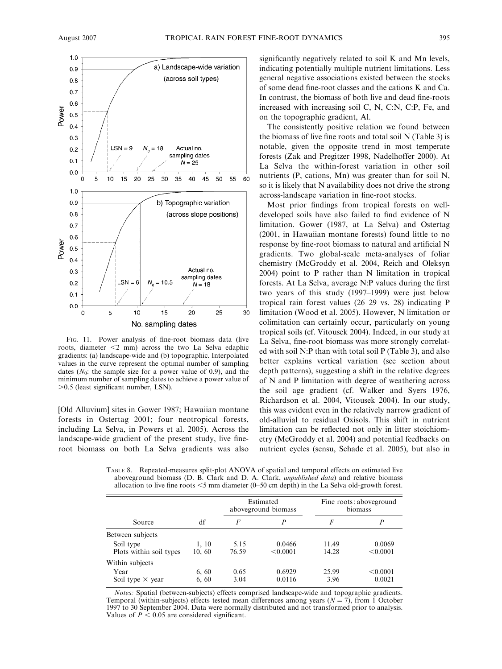

FIG. 11. Power analysis of fine-root biomass data (live roots, diameter  $<$ 2 mm) across the two La Selva edaphic gradients: (a) landscape-wide and (b) topographic. Interpolated values in the curve represent the optimal number of sampling dates  $(N_0:$  the sample size for a power value of 0.9), and the minimum number of sampling dates to achieve a power value of  $>0.5$  (least significant number, LSN).

[Old Alluvium] sites in Gower 1987; Hawaiian montane forests in Ostertag 2001; four neotropical forests, including La Selva, in Powers et al. 2005). Across the landscape-wide gradient of the present study, live fineroot biomass on both La Selva gradients was also

significantly negatively related to soil K and Mn levels, indicating potentially multiple nutrient limitations. Less general negative associations existed between the stocks of some dead fine-root classes and the cations K and Ca. In contrast, the biomass of both live and dead fine-roots increased with increasing soil C, N, C:N, C:P, Fe, and on the topographic gradient, Al.

The consistently positive relation we found between the biomass of live fine roots and total soil N (Table 3) is notable, given the opposite trend in most temperate forests (Zak and Pregitzer 1998, Nadelhoffer 2000). At La Selva the within-forest variation in other soil nutrients (P, cations, Mn) was greater than for soil N, so it is likely that N availability does not drive the strong across-landscape variation in fine-root stocks.

Most prior findings from tropical forests on welldeveloped soils have also failed to find evidence of N limitation. Gower (1987, at La Selva) and Ostertag (2001, in Hawaiian montane forests) found little to no response by fine-root biomass to natural and artificial N gradients. Two global-scale meta-analyses of foliar chemistry (McGroddy et al. 2004, Reich and Oleksyn 2004) point to P rather than N limitation in tropical forests. At La Selva, average N:P values during the first two years of this study (1997–1999) were just below tropical rain forest values (26–29 vs. 28) indicating P limitation (Wood et al. 2005). However, N limitation or colimitation can certainly occur, particularly on young tropical soils (cf. Vitousek 2004). Indeed, in our study at La Selva, fine-root biomass was more strongly correlated with soil N:P than with total soil P (Table 3), and also better explains vertical variation (see section about depth patterns), suggesting a shift in the relative degrees of N and P limitation with degree of weathering across the soil age gradient (cf. Walker and Syers 1976, Richardson et al. 2004, Vitousek 2004). In our study, this was evident even in the relatively narrow gradient of old-alluvial to residual Oxisols. This shift in nutrient limitation can be reflected not only in litter stoichiometry (McGroddy et al. 2004) and potential feedbacks on nutrient cycles (sensu, Schade et al. 2005), but also in

TABLE 8. Repeated-measures split-plot ANOVA of spatial and temporal effects on estimated live aboveground biomass (D. B. Clark and D. A. Clark, *unpublished data*) and relative biomass allocation to live fine roots  $\leq$ 5 mm diameter (0–50 cm depth) in the La Selva old-growth forest.

|                         |        |       | Estimated<br>aboveground biomass | Fine roots: aboveground<br>biomass |          |  |
|-------------------------|--------|-------|----------------------------------|------------------------------------|----------|--|
| Source                  | df     | F     | P                                | F                                  | P        |  |
| Between subjects        |        |       |                                  |                                    |          |  |
| Soil type               | 1, 10  | 5.15  | 0.0466                           | 11.49                              | 0.0069   |  |
| Plots within soil types | 10, 60 | 76.59 | < 0.0001                         | 14.28                              | < 0.0001 |  |
| Within subjects         |        |       |                                  |                                    |          |  |
| Year                    | 6, 60  | 0.65  | 0.6929                           | 25.99                              | < 0.0001 |  |
| Soil type $\times$ year | 6, 60  | 3.04  | 0.0116                           | 3.96                               | 0.0021   |  |

Notes: Spatial (between-subjects) effects comprised landscape-wide and topographic gradients. Temporal (within-subjects) effects tested mean differences among years ( $N = 7$ ), from 1 October 1997 to 30 September 2004. Data were normally distributed and not transformed prior to analysis. Values of  $P < 0.05$  are considered significant.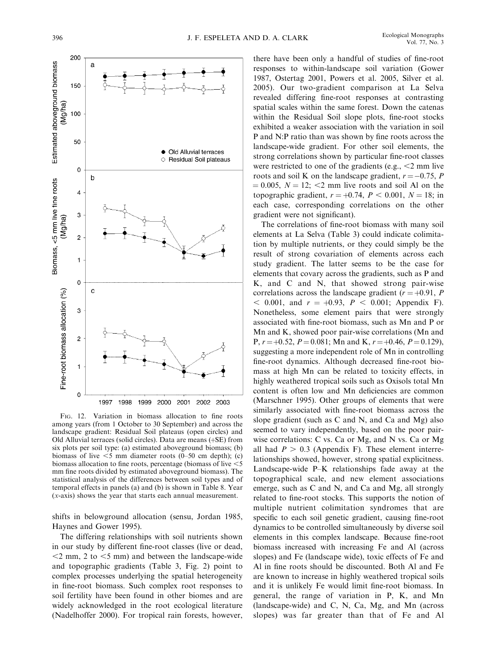

FIG. 12. Variation in biomass allocation to fine roots among years (from 1 October to 30 September) and across the landscape gradient: Residual Soil plateaus (open circles) and Old Alluvial terraces (solid circles). Data are means  $(+SE)$  from six plots per soil type: (a) estimated aboveground biomass; (b) biomass of live  $\leq$ 5 mm diameter roots (0–50 cm depth); (c) biomass allocation to fine roots, percentage (biomass of live  $\leq$ 5 mm fine roots divided by estimated aboveground biomass). The statistical analysis of the differences between soil types and of temporal effects in panels (a) and (b) is shown in Table 8. Year (x-axis) shows the year that starts each annual measurement.

shifts in belowground allocation (sensu, Jordan 1985, Haynes and Gower 1995).

The differing relationships with soil nutrients shown in our study by different fine-root classes (live or dead,  $<$ 2 mm, 2 to  $<$ 5 mm) and between the landscape-wide and topographic gradients (Table 3, Fig. 2) point to complex processes underlying the spatial heterogeneity in fine-root biomass. Such complex root responses to soil fertility have been found in other biomes and are widely acknowledged in the root ecological literature (Nadelhoffer 2000). For tropical rain forests, however, there have been only a handful of studies of fine-root responses to within-landscape soil variation (Gower 1987, Ostertag 2001, Powers et al. 2005, Silver et al. 2005). Our two-gradient comparison at La Selva revealed differing fine-root responses at contrasting spatial scales within the same forest. Down the catenas within the Residual Soil slope plots, fine-root stocks exhibited a weaker association with the variation in soil P and N:P ratio than was shown by fine roots across the landscape-wide gradient. For other soil elements, the strong correlations shown by particular fine-root classes were restricted to one of the gradients (e.g.,  $\leq$ 2 mm live roots and soil K on the landscape gradient,  $r = -0.75$ , P  $\mu = 0.005$ ,  $N = 12$ ; <2 mm live roots and soil Al on the topographic gradient,  $r = +0.74$ ,  $P < 0.001$ ,  $N = 18$ ; in each case, corresponding correlations on the other gradient were not significant).

The correlations of fine-root biomass with many soil elements at La Selva (Table 3) could indicate colimitation by multiple nutrients, or they could simply be the result of strong covariation of elements across each study gradient. The latter seems to be the case for elements that covary across the gradients, such as P and K, and C and N, that showed strong pair-wise correlations across the landscape gradient ( $r = +0.91$ , P  $<$  0.001, and  $r = +0.93$ ,  $P < 0.001$ ; Appendix F). Nonetheless, some element pairs that were strongly associated with fine-root biomass, such as Mn and P or Mn and K, showed poor pair-wise correlations (Mn and P,  $r = +0.52$ ,  $P = 0.081$ ; Mn and K,  $r = +0.46$ ,  $P = 0.129$ ), suggesting a more independent role of Mn in controlling fine-root dynamics. Although decreased fine-root biomass at high Mn can be related to toxicity effects, in highly weathered tropical soils such as Oxisols total Mn content is often low and Mn deficiencies are common (Marschner 1995). Other groups of elements that were similarly associated with fine-root biomass across the slope gradient (such as C and N, and Ca and Mg) also seemed to vary independently, based on the poor pairwise correlations: C vs. Ca or Mg, and N vs. Ca or Mg all had  $P > 0.3$  (Appendix F). These element interrelationships showed, however, strong spatial explicitness. Landscape-wide P–K relationships fade away at the topographical scale, and new element associations emerge, such as C and N, and Ca and Mg, all strongly related to fine-root stocks. This supports the notion of multiple nutrient colimitation syndromes that are specific to each soil genetic gradient, causing fine-root dynamics to be controlled simultaneously by diverse soil elements in this complex landscape. Because fine-root biomass increased with increasing Fe and Al (across slopes) and Fe (landscape wide), toxic effects of Fe and Al in fine roots should be discounted. Both Al and Fe are known to increase in highly weathered tropical soils and it is unlikely Fe would limit fine-root biomass. In general, the range of variation in P, K, and Mn (landscape-wide) and C, N, Ca, Mg, and Mn (across slopes) was far greater than that of Fe and Al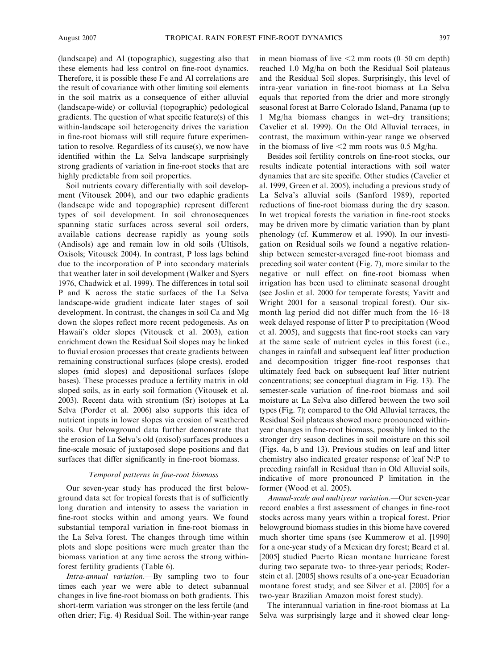(landscape) and Al (topographic), suggesting also that these elements had less control on fine-root dynamics. Therefore, it is possible these Fe and Al correlations are the result of covariance with other limiting soil elements in the soil matrix as a consequence of either alluvial (landscape-wide) or colluvial (topographic) pedological gradients. The question of what specific feature(s) of this within-landscape soil heterogeneity drives the variation in fine-root biomass will still require future experimentation to resolve. Regardless of its cause(s), we now have identified within the La Selva landscape surprisingly strong gradients of variation in fine-root stocks that are highly predictable from soil properties.

Soil nutrients covary differentially with soil development (Vitousek 2004), and our two edaphic gradients (landscape wide and topographic) represent different types of soil development. In soil chronosequences spanning static surfaces across several soil orders, available cations decrease rapidly as young soils (Andisols) age and remain low in old soils (Ultisols, Oxisols; Vitousek 2004). In contrast, P loss lags behind due to the incorporation of P into secondary materials that weather later in soil development (Walker and Syers 1976, Chadwick et al. 1999). The differences in total soil P and K across the static surfaces of the La Selva landscape-wide gradient indicate later stages of soil development. In contrast, the changes in soil Ca and Mg down the slopes reflect more recent pedogenesis. As on Hawaii's older slopes (Vitousek et al. 2003), cation enrichment down the Residual Soil slopes may be linked to fluvial erosion processes that create gradients between remaining constructional surfaces (slope crests), eroded slopes (mid slopes) and depositional surfaces (slope bases). These processes produce a fertility matrix in old sloped soils, as in early soil formation (Vitousek et al. 2003). Recent data with strontium (Sr) isotopes at La Selva (Porder et al. 2006) also supports this idea of nutrient inputs in lower slopes via erosion of weathered soils. Our belowground data further demonstrate that the erosion of La Selva's old (oxisol) surfaces produces a fine-scale mosaic of juxtaposed slope positions and flat surfaces that differ significantly in fine-root biomass.

# Temporal patterns in fine-root biomass

Our seven-year study has produced the first belowground data set for tropical forests that is of sufficiently long duration and intensity to assess the variation in fine-root stocks within and among years. We found substantial temporal variation in fine-root biomass in the La Selva forest. The changes through time within plots and slope positions were much greater than the biomass variation at any time across the strong withinforest fertility gradients (Table 6).

Intra-annual variation.—By sampling two to four times each year we were able to detect subannual changes in live fine-root biomass on both gradients. This short-term variation was stronger on the less fertile (and often drier; Fig. 4) Residual Soil. The within-year range in mean biomass of live  $\leq$ 2 mm roots (0–50 cm depth) reached 1.0 Mg/ha on both the Residual Soil plateaus and the Residual Soil slopes. Surprisingly, this level of intra-year variation in fine-root biomass at La Selva equals that reported from the drier and more strongly seasonal forest at Barro Colorado Island, Panama (up to 1 Mg/ha biomass changes in wet–dry transitions; Cavelier et al. 1999). On the Old Alluvial terraces, in contrast, the maximum within-year range we observed in the biomass of live  $\leq$ 2 mm roots was 0.5 Mg/ha.

Besides soil fertility controls on fine-root stocks, our results indicate potential interactions with soil water dynamics that are site specific. Other studies (Cavelier et al. 1999, Green et al. 2005), including a previous study of La Selva's alluvial soils (Sanford 1989), reported reductions of fine-root biomass during the dry season. In wet tropical forests the variation in fine-root stocks may be driven more by climatic variation than by plant phenology (cf. Kummerow et al. 1990). In our investigation on Residual soils we found a negative relationship between semester-averaged fine-root biomass and preceding soil water content (Fig. 7), more similar to the negative or null effect on fine-root biomass when irrigation has been used to eliminate seasonal drought (see Joslin et al. 2000 for temperate forests; Yavitt and Wright 2001 for a seasonal tropical forest). Our sixmonth lag period did not differ much from the 16–18 week delayed response of litter P to precipitation (Wood et al. 2005), and suggests that fine-root stocks can vary at the same scale of nutrient cycles in this forest (i.e., changes in rainfall and subsequent leaf litter production and decomposition trigger fine-root responses that ultimately feed back on subsequent leaf litter nutrient concentrations; see conceptual diagram in Fig. 13). The semester-scale variation of fine-root biomass and soil moisture at La Selva also differed between the two soil types (Fig. 7); compared to the Old Alluvial terraces, the Residual Soil plateaus showed more pronounced withinyear changes in fine-root biomass, possibly linked to the stronger dry season declines in soil moisture on this soil (Figs. 4a, b and 13). Previous studies on leaf and litter chemistry also indicated greater response of leaf N:P to preceding rainfall in Residual than in Old Alluvial soils, indicative of more pronounced P limitation in the former (Wood et al. 2005).

Annual-scale and multiyear variation.—Our seven-year record enables a first assessment of changes in fine-root stocks across many years within a tropical forest. Prior belowground biomass studies in this biome have covered much shorter time spans (see Kummerow et al. [1990] for a one-year study of a Mexican dry forest; Beard et al. [2005] studied Puerto Rican montane hurricane forest during two separate two- to three-year periods; Roderstein et al. [2005] shows results of a one-year Ecuadorian montane forest study; and see Silver et al. [2005] for a two-year Brazilian Amazon moist forest study).

The interannual variation in fine-root biomass at La Selva was surprisingly large and it showed clear long-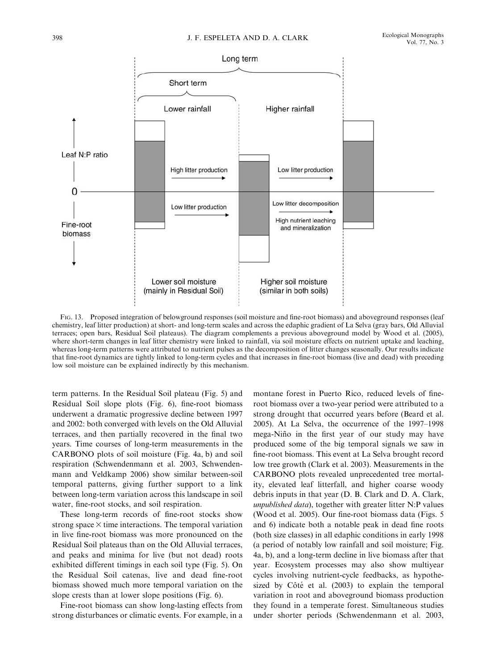

FIG. 13. Proposed integration of belowground responses (soil moisture and fine-root biomass) and aboveground responses (leaf chemistry, leaf litter production) at short- and long-term scales and across the edaphic gradient of La Selva (gray bars, Old Alluvial terraces; open bars, Residual Soil plateaus). The diagram complements a previous aboveground model by Wood et al. (2005), where short-term changes in leaf litter chemistry were linked to rainfall, via soil moisture effects on nutrient uptake and leaching, whereas long-term patterns were attributed to nutrient pulses as the decomposition of litter changes seasonally. Our results indicate that fine-root dynamics are tightly linked to long-term cycles and that increases in fine-root biomass (live and dead) with preceding low soil moisture can be explained indirectly by this mechanism.

term patterns. In the Residual Soil plateau (Fig. 5) and Residual Soil slope plots (Fig. 6), fine-root biomass underwent a dramatic progressive decline between 1997 and 2002: both converged with levels on the Old Alluvial terraces, and then partially recovered in the final two years. Time courses of long-term measurements in the CARBONO plots of soil moisture (Fig. 4a, b) and soil respiration (Schwendenmann et al. 2003, Schwendenmann and Veldkamp 2006) show similar between-soil temporal patterns, giving further support to a link between long-term variation across this landscape in soil water, fine-root stocks, and soil respiration.

These long-term records of fine-root stocks show strong space  $\times$  time interactions. The temporal variation in live fine-root biomass was more pronounced on the Residual Soil plateaus than on the Old Alluvial terraces, and peaks and minima for live (but not dead) roots exhibited different timings in each soil type (Fig. 5). On the Residual Soil catenas, live and dead fine-root biomass showed much more temporal variation on the slope crests than at lower slope positions (Fig. 6).

Fine-root biomass can show long-lasting effects from strong disturbances or climatic events. For example, in a montane forest in Puerto Rico, reduced levels of fineroot biomass over a two-year period were attributed to a strong drought that occurred years before (Beard et al. 2005). At La Selva, the occurrence of the 1997–1998 mega-Niño in the first year of our study may have produced some of the big temporal signals we saw in fine-root biomass. This event at La Selva brought record low tree growth (Clark et al. 2003). Measurements in the CARBONO plots revealed unprecedented tree mortality, elevated leaf litterfall, and higher coarse woody debris inputs in that year (D. B. Clark and D. A. Clark, unpublished data), together with greater litter N:P values (Wood et al. 2005). Our fine-root biomass data (Figs. 5 and 6) indicate both a notable peak in dead fine roots (both size classes) in all edaphic conditions in early 1998 (a period of notably low rainfall and soil moisture; Fig. 4a, b), and a long-term decline in live biomass after that year. Ecosystem processes may also show multiyear cycles involving nutrient-cycle feedbacks, as hypothesized by Côté et al.  $(2003)$  to explain the temporal variation in root and aboveground biomass production they found in a temperate forest. Simultaneous studies under shorter periods (Schwendenmann et al. 2003,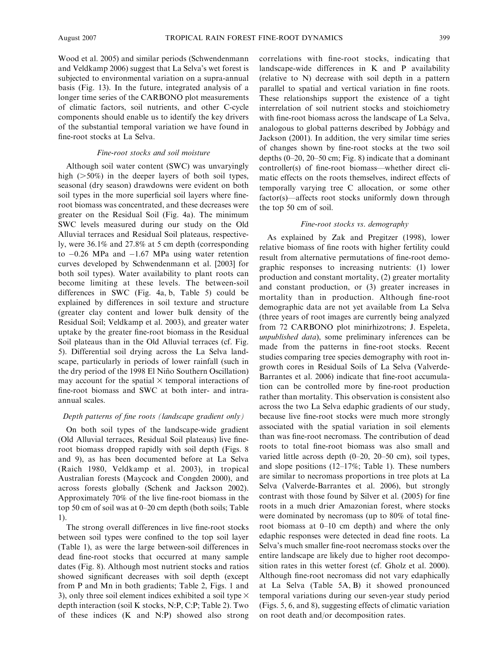Wood et al. 2005) and similar periods (Schwendenmann and Veldkamp 2006) suggest that La Selva's wet forest is subjected to environmental variation on a supra-annual basis (Fig. 13). In the future, integrated analysis of a longer time series of the CARBONO plot measurements of climatic factors, soil nutrients, and other C-cycle components should enable us to identify the key drivers of the substantial temporal variation we have found in fine-root stocks at La Selva.

#### Fine-root stocks and soil moisture

Although soil water content (SWC) was unvaryingly high  $(>=50\%)$  in the deeper layers of both soil types, seasonal (dry season) drawdowns were evident on both soil types in the more superficial soil layers where fineroot biomass was concentrated, and these decreases were greater on the Residual Soil (Fig. 4a). The minimum SWC levels measured during our study on the Old Alluvial terraces and Residual Soil plateaus, respectively, were 36.1% and 27.8% at 5 cm depth (corresponding to  $-0.26$  MPa and  $-1.67$  MPa using water retention curves developed by Schwendenmann et al. [2003] for both soil types). Water availability to plant roots can become limiting at these levels. The between-soil differences in SWC (Fig. 4a, b, Table 5) could be explained by differences in soil texture and structure (greater clay content and lower bulk density of the Residual Soil; Veldkamp et al. 2003), and greater water uptake by the greater fine-root biomass in the Residual Soil plateaus than in the Old Alluvial terraces (cf. Fig. 5). Differential soil drying across the La Selva landscape, particularly in periods of lower rainfall (such in the dry period of the 1998 El Niño Southern Oscillation) may account for the spatial  $\times$  temporal interactions of fine-root biomass and SWC at both inter- and intraannual scales.

#### Depth patterns of fine roots (landscape gradient only)

On both soil types of the landscape-wide gradient (Old Alluvial terraces, Residual Soil plateaus) live fineroot biomass dropped rapidly with soil depth (Figs. 8 and 9), as has been documented before at La Selva (Raich 1980, Veldkamp et al. 2003), in tropical Australian forests (Maycock and Congden 2000), and across forests globally (Schenk and Jackson 2002). Approximately 70% of the live fine-root biomass in the top 50 cm of soil was at 0–20 cm depth (both soils; Table 1).

The strong overall differences in live fine-root stocks between soil types were confined to the top soil layer (Table 1), as were the large between-soil differences in dead fine-root stocks that occurred at many sample dates (Fig. 8). Although most nutrient stocks and ratios showed significant decreases with soil depth (except from P and Mn in both gradients; Table 2, Figs. 1 and 3), only three soil element indices exhibited a soil type  $\times$ depth interaction (soil K stocks, N:P, C:P; Table 2). Two of these indices (K and N:P) showed also strong correlations with fine-root stocks, indicating that landscape-wide differences in K and P availability (relative to N) decrease with soil depth in a pattern parallel to spatial and vertical variation in fine roots. These relationships support the existence of a tight interrelation of soil nutrient stocks and stoichiometry with fine-root biomass across the landscape of La Selva, analogous to global patterns described by Jobbágy and Jackson (2001). In addition, the very similar time series of changes shown by fine-root stocks at the two soil depths (0–20, 20–50 cm; Fig. 8) indicate that a dominant controller(s) of fine-root biomass—whether direct climatic effects on the roots themselves, indirect effects of temporally varying tree C allocation, or some other factor(s)—affects root stocks uniformly down through the top 50 cm of soil.

### Fine-root stocks vs. demography

As explained by Zak and Pregitzer (1998), lower relative biomass of fine roots with higher fertility could result from alternative permutations of fine-root demographic responses to increasing nutrients: (1) lower production and constant mortality, (2) greater mortality and constant production, or (3) greater increases in mortality than in production. Although fine-root demographic data are not yet available from La Selva (three years of root images are currently being analyzed from 72 CARBONO plot minirhizotrons; J. Espeleta, unpublished data), some preliminary inferences can be made from the patterns in fine-root stocks. Recent studies comparing tree species demography with root ingrowth cores in Residual Soils of La Selva (Valverde-Barrantes et al. 2006) indicate that fine-root accumulation can be controlled more by fine-root production rather than mortality. This observation is consistent also across the two La Selva edaphic gradients of our study, because live fine-root stocks were much more strongly associated with the spatial variation in soil elements than was fine-root necromass. The contribution of dead roots to total fine-root biomass was also small and varied little across depth (0–20, 20–50 cm), soil types, and slope positions (12–17%; Table 1). These numbers are similar to necromass proportions in tree plots at La Selva (Valverde-Barrantes et al. 2006), but strongly contrast with those found by Silver et al. (2005) for fine roots in a much drier Amazonian forest, where stocks were dominated by necromass (up to 80% of total fineroot biomass at 0–10 cm depth) and where the only edaphic responses were detected in dead fine roots. La Selva's much smaller fine-root necromass stocks over the entire landscape are likely due to higher root decomposition rates in this wetter forest (cf. Gholz et al. 2000). Although fine-root necromass did not vary edaphically at La Selva (Table 5A, B) it showed pronounced temporal variations during our seven-year study period (Figs. 5, 6, and 8), suggesting effects of climatic variation on root death and/or decomposition rates.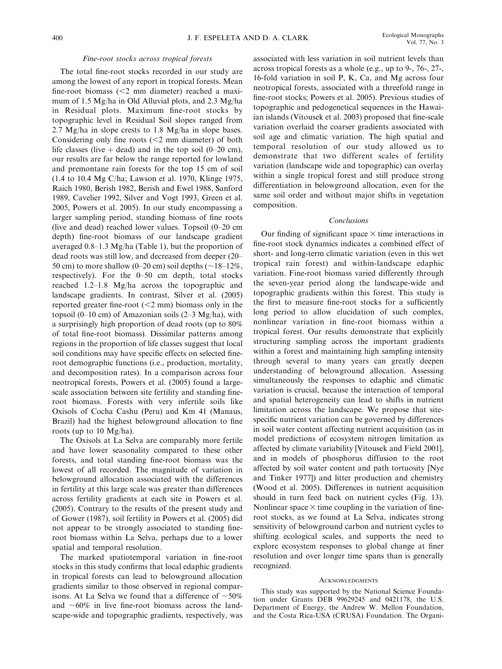#### Fine-root stocks across tropical forests

The total fine-root stocks recorded in our study are among the lowest of any report in tropical forests. Mean fine-root biomass  $\left( \leq 2 \right)$  mm diameter) reached a maximum of 1.5 Mg/ha in Old Alluvial plots, and 2.3 Mg/ha in Residual plots. Maximum fine-root stocks by topographic level in Residual Soil slopes ranged from 2.7 Mg/ha in slope crests to 1.8 Mg/ha in slope bases. Considering only fine roots  $(< 2$  mm diameter) of both life classes (live  $+$  dead) and in the top soil (0–20 cm), our results are far below the range reported for lowland and premontane rain forests for the top 15 cm of soil (1.4 to 10.4 Mg C/ha; Lawson et al. 1970, Klinge 1975, Raich 1980, Berish 1982, Berish and Ewel 1988, Sanford 1989, Cavelier 1992, Silver and Vogt 1993, Green et al. 2005, Powers et al. 2005). In our study encompassing a larger sampling period, standing biomass of fine roots (live and dead) reached lower values. Topsoil (0–20 cm depth) fine-root biomass of our landscape gradient averaged 0.8–1.3 Mg/ha (Table 1), but the proportion of dead roots was still low, and decreased from deeper (20– 50 cm) to more shallow (0–20 cm) soil depths ( $\sim$ 18–12%, respectively). For the 0–50 cm depth, total stocks reached 1.2–1.8 Mg/ha across the topographic and landscape gradients. In contrast, Silver et al. (2005) reported greater fine-root  $(< 2$  mm) biomass only in the topsoil (0–10 cm) of Amazonian soils (2–3 Mg/ha), with a surprisingly high proportion of dead roots (up to 80% of total fine-root biomass). Dissimilar patterns among regions in the proportion of life classes suggest that local soil conditions may have specific effects on selected fineroot demographic functions (i.e., production, mortality, and decomposition rates). In a comparison across four neotropical forests, Powers et al. (2005) found a largescale association between site fertility and standing fineroot biomass. Forests with very infertile soils like Oxisols of Cocha Cashu (Peru) and Km 41 (Manaus, Brazil) had the highest belowground allocation to fine roots (up to 10 Mg/ha).

The Oxisols at La Selva are comparably more fertile and have lower seasonality compared to these other forests, and total standing fine-root biomass was the lowest of all recorded. The magnitude of variation in belowground allocation associated with the differences in fertility at this large scale was greater than differences across fertility gradients at each site in Powers et al. (2005). Contrary to the results of the present study and of Gower (1987), soil fertility in Powers et al. (2005) did not appear to be strongly associated to standing fineroot biomass within La Selva, perhaps due to a lower spatial and temporal resolution.

The marked spatiotemporal variation in fine-root stocks in this study confirms that local edaphic gradients in tropical forests can lead to belowground allocation gradients similar to those observed in regional comparisons. At La Selva we found that a difference of  $\sim$ 50% and  $~60\%$  in live fine-root biomass across the landscape-wide and topographic gradients, respectively, was associated with less variation in soil nutrient levels than across tropical forests as a whole (e.g., up to 9-, 76-, 27-, 16-fold variation in soil P, K, Ca, and Mg across four neotropical forests, associated with a threefold range in fine-root stocks; Powers et al. 2005). Previous studies of topographic and pedogenetical sequences in the Hawaiian islands (Vitousek et al. 2003) proposed that fine-scale variation overlaid the coarser gradients associated with soil age and climatic variation. The high spatial and temporal resolution of our study allowed us to demonstrate that two different scales of fertility variation (landscape wide and topographic) can overlay within a single tropical forest and still produce strong differentiation in belowground allocation, even for the same soil order and without major shifts in vegetation composition.

#### Conclusions

Our finding of significant space  $\times$  time interactions in fine-root stock dynamics indicates a combined effect of short- and long-term climatic variation (even in this wet tropical rain forest) and within-landscape edaphic variation. Fine-root biomass varied differently through the seven-year period along the landscape-wide and topographic gradients within this forest. This study is the first to measure fine-root stocks for a sufficiently long period to allow elucidation of such complex, nonlinear variation in fine-root biomass within a tropical forest. Our results demonstrate that explicitly structuring sampling across the important gradients within a forest and maintaining high sampling intensity through several to many years can greatly deepen understanding of belowground allocation. Assessing simultaneously the responses to edaphic and climatic variation is crucial, because the interaction of temporal and spatial heterogeneity can lead to shifts in nutrient limitation across the landscape. We propose that sitespecific nutrient variation can be governed by differences in soil water content affecting nutrient acquisition (as in model predictions of ecosystem nitrogen limitation as affected by climate variability [Vitousek and Field 2001], and in models of phosphorus diffusion to the root affected by soil water content and path tortuosity [Nye and Tinker 1977]) and litter production and chemistry (Wood et al. 2005). Differences in nutrient acquisition should in turn feed back on nutrient cycles (Fig. 13). Nonlinear space  $\times$  time coupling in the variation of fineroot stocks, as we found at La Selva, indicates strong sensitivity of belowground carbon and nutrient cycles to shifting ecological scales, and supports the need to explore ecosystem responses to global change at finer resolution and over longer time spans than is generally recognized.

#### ACKNOWLEDGMENTS

This study was supported by the National Science Foundation under Grants DEB 99629245 and 0421178, the U.S. Department of Energy, the Andrew W. Mellon Foundation, and the Costa Rica-USA (CRUSA) Foundation. The Organi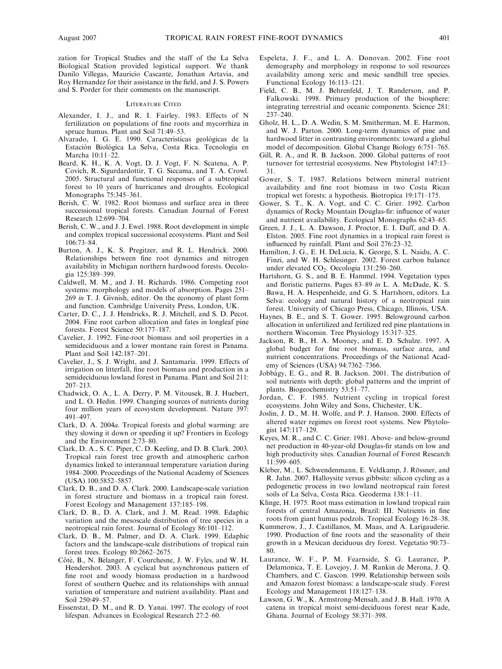zation for Tropical Studies and the staff of the La Selva Biological Station provided logistical support. We thank Danilo Villegas, Mauricio Cascante, Jonathan Artavia, and Roy Hernandez for their assistance in the field, and J. S. Powers and S. Porder for their comments on the manuscript.

#### LITERATURE CITED

- Alexander, I. J., and R. I. Fairley. 1983. Effects of N fertilization on populations of fine roots and mycorrhiza in spruce humus. Plant and Soil 71:49–53.
- Alvarado, I. G. E. 1990. Características geológicas de la Estación Biológica La Selva, Costa Rica. Tecnología en Marcha 10:11–22.
- Beard, K. H., K. A. Vogt, D. J. Vogt, F. N. Scatena, A. P. Covich, R. Sigurdardottir, T. G. Siccama, and T. A. Crowl. 2005. Structural and functional responses of a subtropical forest to 10 years of hurricanes and droughts. Ecological Monographs 75:345–361.
- Berish, C. W. 1982. Root biomass and surface area in three successional tropical forests. Canadian Journal of Forest Research 12:699–704.
- Berish, C. W., and J. J. Ewel. 1988. Root development in simple and complex tropical successional ecosystems. Plant and Soil 106:73–84.
- Burton, A. J., K. S. Pregitzer, and R. L. Hendrick. 2000. Relationships between fine root dynamics and nitrogen availability in Michigan northern hardwood forests. Oecologia 125:389–399.
- Caldwell, M. M., and J. H. Richards. 1986. Competing root systems: morphology and models of absorption. Pages 251– 269 in T. J. Givnish, editor. On the economy of plant form and function. Cambridge University Press, London, UK.
- Carter, D. C., J. J. Hendricks, R. J. Mitchell, and S. D. Pecot. 2004. Fine root carbon allocation and fates in longleaf pine forests. Forest Science 50:177–187.
- Cavelier, J. 1992. Fine-root biomass and soil properties in a semideciduous and a lower montane rain forest in Panama. Plant and Soil 142:187–201.
- Cavelier, J., S. J. Wright, and J. Santamaría. 1999. Effects of irrigation on litterfall, fine root biomass and production in a semideciduous lowland forest in Panama. Plant and Soil 211: 207–213.
- Chadwick, O. A., L. A. Derry, P. M. Vitousek, B. J. Huebert, and L. O. Hedin. 1999. Changing sources of nutrients during four million years of ecosystem development. Nature 397: 491–497.
- Clark, D. A. 2004a. Tropical forests and global warming: are they slowing it down or speeding it up? Frontiers in Ecology and the Environment 2:73–80.
- Clark, D. A., S. C. Piper, C. D. Keeling, and D. B. Clark. 2003. Tropical rain forest tree growth and atmospheric carbon dynamics linked to interannual temperature variation during 1984–2000. Proceedings of the National Academy of Sciences (USA) 100:5852–5857.
- Clark, D. B., and D. A. Clark. 2000. Landscape-scale variation in forest structure and biomass in a tropical rain forest. Forest Ecology and Management 137:185–198.
- Clark, D. B., D. A. Clark, and J. M. Read. 1998. Edaphic variation and the mesoscale distribution of tree species in a neotropical rain forest. Journal of Ecology 86:101–112.
- Clark, D. B., M. Palmer, and D. A. Clark. 1999. Edaphic factors and the landscape-scale distributions of tropical rain forest trees. Ecology 80:2662–2675.
- Côté, B., N. Bélanger, F. Courchesne, J. W. Fyles, and W. H. Hendershot. 2003. A cyclical but asynchronous pattern of fine root and woody biomass production in a hardwood forest of southern Quebec and its relationships with annual variation of temperature and nutrient availability. Plant and Soil 250:49–57.
- Eissenstat, D. M., and R. D. Yanai. 1997. The ecology of root lifespan. Advances in Ecological Research 27:2–60.
- Espeleta, J. F., and L. A. Donovan. 2002. Fine root demography and morphology in response to soil resources availability among xeric and mesic sandhill tree species. Functional Ecology 16:113–121.
- Field, C. B., M. J. Behrenfeld, J. T. Randerson, and P. Falkowski. 1998. Primary production of the biosphere: integrating terrestrial and oceanic components. Science 281: 237–240.
- Gholz, H. L., D. A. Wedin, S. M. Smitherman, M. E. Harmon, and W. J. Parton. 2000. Long-term dynamics of pine and hardwood litter in contrasting environments: toward a global model of decomposition. Global Change Biology 6:751–765.
- Gill, R. A., and R. B. Jackson. 2000. Global patterns of root turnover for terrestrial ecosystems. New Phytologist 147:13– 31.
- Gower, S. T. 1987. Relations between mineral nutrient availability and fine root biomass in two Costa Rican tropical wet forests: a hypothesis. Biotropica 19:171–175.
- Gower, S. T., K. A. Vogt, and C. C. Grier. 1992. Carbon dynamics of Rocky Mountain Douglas-fir: influence of water and nutrient availability. Ecological Monographs 62:43–65.
- Green, J. J., L. A. Dawson, J. Proctor, E. I. Duff, and D. A. Elston. 2005. Fine root dynamics in a tropical rain forest is influenced by rainfall. Plant and Soil 276:23–32.
- Hamilton, J. G., E. H. DeLucia, K. George, S. L. Naidu, A. C. Finzi, and W. H. Schlesinger. 2002. Forest carbon balance under elevated CO<sub>2</sub>. Oecologia 131:250-260.
- Hartshorn, G. S., and B. E. Hammel. 1994. Vegetation types and floristic patterns. Pages 83–89 in L. A. McDade, K. S. Bawa, H. A. Hespenheide, and G. S. Hartshorn, editors. La Selva: ecology and natural history of a neotropical rain forest. University of Chicago Press, Chicago, Illinois, USA.
- Haynes, B. E., and S. T. Gower. 1995. Belowground carbon allocation in unfertilized and fertilized red pine plantations in northern Wisconsin. Tree Physiology 15:317–325.
- Jackson, R. B., H. A. Mooney, and E. D. Schulze. 1997. A global budget for fine root biomass, surface area, and nutrient concentrations. Proceedings of the National Academy of Sciences (USA) 94:7362–7366.
- Jobbágy, E. G., and R. B. Jackson. 2001. The distribution of soil nutrients with depth: global patterns and the imprint of plants. Biogeochemistry 53:51–77.
- Jordan, C. F. 1985. Nutrient cycling in tropical forest ecosystems. John Wiley and Sons, Chichester, UK.
- Joslin, J. D., M. H. Wolfe, and P. J. Hanson. 2000. Effects of altered water regimes on forest root systems. New Phytologist 147:117–129.
- Keyes, M. R., and C. C. Grier. 1981. Above- and below-ground net production in 40-year-old Douglas-fir stands on low and high productivity sites. Canadian Journal of Forest Research  $11.599 - 605$
- Kleber, M., L. Schwendenmann, E. Veldkamp, J. Rössner, and R. Jahn. 2007. Halloysite versus gibbsite: silicon cycling as a pedogenetic process in two lowland neotropical rain forest soils of La Selva, Costa Rica. Geoderma 138:1–11.
- Klinge, H. 1975. Root mass estimation in lowland tropical rain forests of central Amazonia, Brazil: III. Nutrients in fine roots from giant humus podzols. Tropical Ecology 16:28–38.
- Kummerow, J., J. Castillanos, M. Maas, and A. Larigauderie. 1990. Production of fine roots and the seasonality of their growth in a Mexican deciduous dry forest. Vegetatio 90:73– 80.
- Laurance, W. F., P. M. Fearnside, S. G. Laurance, P. Delamonica, T. E. Lovejoy, J. M. Rankin de Merona, J. Q. Chambers, and C. Gascon. 1999. Relationship between soils and Amazon forest biomass: a landscape-scale study. Forest Ecology and Management 118:127–138.
- Lawson, G. W., K. Armstrong-Mensah, and J. B. Hall. 1970. A catena in tropical moist semi-deciduous forest near Kade, Ghana. Journal of Ecology 58:371–398.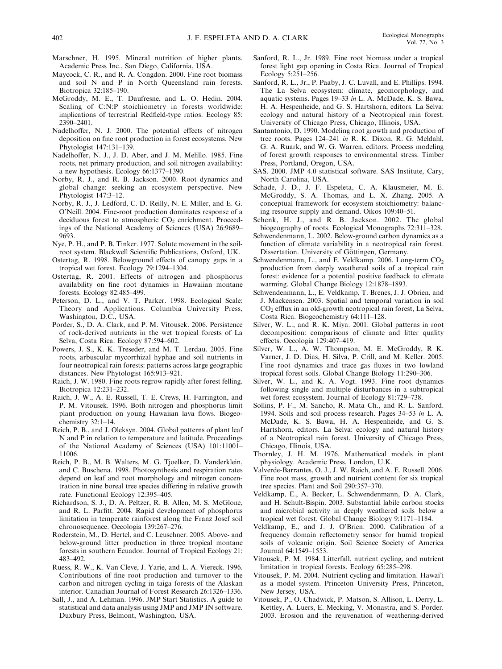- Marschner, H. 1995. Mineral nutrition of higher plants. Academic Press Inc., San Diego, California, USA.
- Maycock, C. R., and R. A. Congdon. 2000. Fine root biomass and soil N and P in North Queensland rain forests. Biotropica 32:185–190.
- McGroddy, M. E., T. Daufresne, and L. O. Hedin. 2004. Scaling of C:N:P stoichiometry in forests worldwide: implications of terrestrial Redfield-type ratios. Ecology 85: 2390–2401.
- Nadelhoffer, N. J. 2000. The potential effects of nitrogen deposition on fine root production in forest ecosystems. New Phytologist 147:131–139.
- Nadelhoffer, N. J., J. D. Aber, and J. M. Melillo. 1985. Fine roots, net primary production, and soil nitrogen availability: a new hypothesis. Ecology 66:1377–1390.
- Norby, R. J., and R. B. Jackson. 2000. Root dynamics and global change: seeking an ecosystem perspective. New Phytologist 147:3–12.
- Norby, R. J., J. Ledford, C. D. Reilly, N. E. Miller, and E. G. O'Neill. 2004. Fine-root production dominates response of a deciduous forest to atmospheric  $CO<sub>2</sub>$  enrichment. Proceedings of the National Academy of Sciences (USA) 26:9689– 9693.
- Nye, P. H., and P. B. Tinker. 1977. Solute movement in the soilroot system. Blackwell Scientific Publications, Oxford, UK.
- Ostertag, R. 1998. Belowground effects of canopy gaps in a tropical wet forest. Ecology 79:1294–1304.
- Ostertag, R. 2001. Effects of nitrogen and phosphorus availability on fine root dynamics in Hawaiian montane forests. Ecology 82:485–499.
- Peterson, D. L., and V. T. Parker. 1998. Ecological Scale: Theory and Applications. Columbia University Press, Washington, D.C., USA.
- Porder, S., D. A. Clark, and P. M. Vitousek. 2006. Persistence of rock-derived nutrients in the wet tropical forests of La Selva, Costa Rica. Ecology 87:594–602.
- Powers, J. S., K. K. Treseder, and M. T. Lerdau. 2005. Fine roots, arbuscular mycorrhizal hyphae and soil nutrients in four neotropical rain forests: patterns across large geographic distances. New Phytologist 165:913–921.
- Raich, J. W. 1980. Fine roots regrow rapidly after forest felling. Biotropica 12:231–232.
- Raich, J. W., A. E. Russell, T. E. Crews, H. Farrington, and P. M. Vitousek. 1996. Both nitrogen and phosphorus limit plant production on young Hawaiian lava flows. Biogeochemistry 32:1–14.
- Reich, P. B., and J. Oleksyn. 2004. Global patterns of plant leaf N and P in relation to temperature and latitude. Proceedings of the National Academy of Sciences (USA) 101:11001– 11006.
- Reich, P. B., M. B. Walters, M. G. Tjoelker, D. Vanderklein, and C. Buschena. 1998. Photosynthesis and respiration rates depend on leaf and root morphology and nitrogen concentration in nine boreal tree species differing in relative growth rate. Functional Ecology 12:395–405.
- Richardson, S. J., D. A. Peltzer, R. B. Allen, M. S. McGlone, and R. L. Parfitt. 2004. Rapid development of phosphorus limitation in temperate rainforest along the Franz Josef soil chronosequence. Oecologia 139:267–276.
- Roderstein, M., D. Hertel, and C. Leuschner. 2005. Above- and below-ground litter production in three tropical montane forests in southern Ecuador. Journal of Tropical Ecology 21: 483–492.
- Ruess, R. W., K. Van Cleve, J. Yarie, and L. A. Viereck. 1996. Contributions of fine root production and turnover to the carbon and nitrogen cycling in taiga forests of the Alaskan interior. Canadian Journal of Forest Research 26:1326–1336.
- Sall, J., and A. Lehman. 1996. JMP Start Statistics. A guide to statistical and data analysis using JMP and JMP IN software. Duxbury Press, Belmont, Washington, USA.
- Sanford, R. L., Jr. 1989. Fine root biomass under a tropical forest light gap opening in Costa Rica. Journal of Tropical Ecology 5:251–256.
- Sanford, R. L., Jr., P. Paaby, J. C. Luvall, and E. Phillips. 1994. The La Selva ecosystem: climate, geomorphology, and aquatic systems. Pages 19–33 in L. A. McDade, K. S. Bawa, H. A. Hespenheide, and G. S. Hartshorn, editors. La Selva: ecology and natural history of a Neotropical rain forest. University of Chicago Press, Chicago, Illinois, USA.
- Santantonio, D. 1990. Modeling root growth and production of tree roots. Pages 124–241 in R. K. Dixon, R. G. Meldahl, G. A. Ruark, and W. G. Warren, editors. Process modeling of forest growth responses to environmental stress. Timber Press, Portland, Oregon, USA.
- SAS. 2000. JMP 4.0 statistical software. SAS Institute, Cary, North Carolina, USA.
- Schade, J. D., J. F. Espeleta, C. A. Klausmeier, M. E. McGroddy, S. A. Thomas, and L. X. Zhang. 2005. A conceptual framework for ecosystem stoichiometry: balancing resource supply and demand. Oikos 109:40–51.
- Schenk, H. J., and R. B. Jackson. 2002. The global biogeography of roots. Ecological Monographs 72:311–328.
- Schwendenmann, L. 2002. Below-ground carbon dynamics as a function of climate variability in a neotropical rain forest. Dissertation. University of Göttingen, Germany.
- Schwendenmann, L., and E. Veldkamp. 2006. Long-term  $CO<sub>2</sub>$ production from deeply weathered soils of a tropical rain forest: evidence for a potential positive feedback to climate warming. Global Change Biology 12:1878–1893.
- Schwendenmann, L., E. Veldkamp, T. Brenes, J. J. Obrien, and J. Mackensen. 2003. Spatial and temporal variation in soil CO2 efflux in an old-growth neotropical rain forest, La Selva, Costa Rica. Biogeochemistry 64:111–128.
- Silver, W. L., and R. K. Miya. 2001. Global patterns in root decomposition: comparisons of climate and litter quality effects. Oecologia 129:407–419.
- Silver, W. L., A. W. Thompson, M. E. McGroddy, R K. Varner, J. D. Dias, H. Silva, P. Crill, and M. Keller. 2005. Fine root dynamics and trace gas fluxes in two lowland tropical forest soils. Global Change Biology 11:290–306.
- Silver, W. L., and K. A. Vogt. 1993. Fine root dynamics following single and multiple disturbances in a subtropical wet forest ecosystem. Journal of Ecology 81:729–738.
- Sollins, P. F., M. Sancho, R. Mata Ch., and R. L. Sanford. 1994. Soils and soil process research. Pages 34–53 in L. A. McDade, K. S. Bawa, H. A. Hespenheide, and G. S. Hartshorn, editors. La Selva: ecology and natural history of a Neotropical rain forest. University of Chicago Press, Chicago, Illinois, USA.
- Thornley, J. H. M. 1976. Mathematical models in plant physiology. Academic Press, London, U.K.
- Valverde-Barrantes, O. J., J. W. Raich, and A. E. Russell. 2006. Fine root mass, growth and nutrient content for six tropical tree species. Plant and Soil 290:357–370.
- Veldkamp, E., A. Becker, L. Schwendenmann, D. A. Clark, and H. Schult-Bispin. 2003. Substantial labile carbon stocks and microbial activity in deeply weathered soils below a tropical wet forest. Global Change Biology 9:1171–1184.
- Veldkamp, E., and J. J. O'Brien. 2000. Calibration of a frequency domain reflectometry sensor for humid tropical soils of volcanic origin. Soil Science Society of America Journal 64:1549–1553.
- Vitousek, P. M. 1984. Litterfall, nutrient cycling, and nutrient limitation in tropical forests. Ecology 65:285–298.
- Vitousek, P. M. 2004. Nutrient cycling and limitation. Hawai'i as a model system. Princeton University Press, Princeton, New Jersey, USA.
- Vitousek, P., O. Chadwick, P. Matson, S. Allison, L. Derry, L. Kettley, A. Luers, E. Mecking, V. Monastra, and S. Porder. 2003. Erosion and the rejuvenation of weathering-derived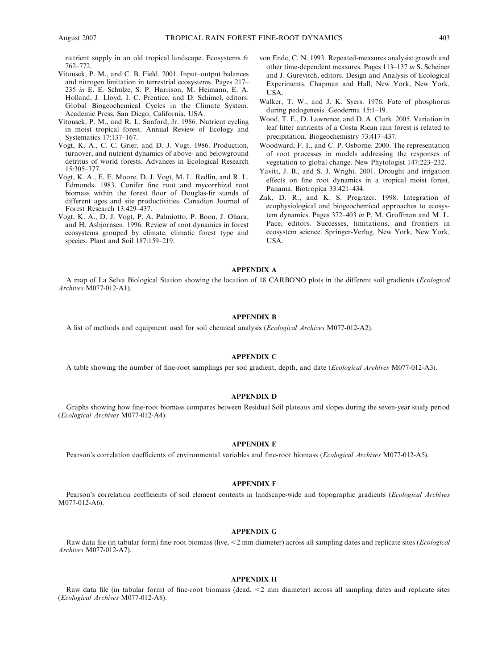nutrient supply in an old tropical landscape. Ecosystems 6: 762–772.

- Vitousek, P. M., and C. B. Field. 2001. Input–output balances and nitrogen limitation in terrestrial ecosystems. Pages 217– 235 in E. E. Schulze, S. P. Harrison, M. Heimann, E. A. Holland, J. Lloyd, I. C. Prentice, and D. Schimel, editors. Global Biogeochemical Cycles in the Climate System. Academic Press, San Diego, California, USA.
- Vitousek, P. M., and R. L. Sanford, Jr. 1986. Nutrient cycling in moist tropical forest. Annual Review of Ecology and Systematics 17:137–167.
- Vogt, K. A., C. C. Grier, and D. J. Vogt. 1986. Production, turnover, and nutrient dynamics of above- and belowground detritus of world forests. Advances in Ecological Research 15:305–377.
- Vogt, K. A., E. E. Moore, D. J. Vogt, M. L. Redlin, and R. L. Edmonds. 1983. Conifer fine root and mycorrhizal root biomass within the forest floor of Douglas-fir stands of different ages and site productivities. Canadian Journal of Forest Research 13:429–437.
- Vogt, K. A., D. J. Vogt, P. A. Palmiotto, P. Boon, J. Ohara, and H. Asbjornsen. 1996. Review of root dynamics in forest ecosystems grouped by climate, climatic forest type and species. Plant and Soil 187:159–219.
- von Ende, C. N. 1993. Repeated-measures analysis: growth and other time-dependent measures. Pages 113–137 in S. Scheiner and J. Gurevitch, editors. Design and Analysis of Ecological Experiments. Chapman and Hall, New York, New York, USA.
- Walker, T. W., and J. K. Syers. 1976. Fate of phosphorus during pedogenesis. Geoderma 15:1–19.
- Wood, T. E., D. Lawrence, and D. A. Clark. 2005. Variation in leaf litter nutrients of a Costa Rican rain forest is related to precipitation. Biogeochemistry 73:417–437.
- Woodward, F. I., and C. P. Osborne. 2000. The representation of root processes in models addressing the responses of vegetation to global change. New Phytologist 147:223–232.
- Yavitt, J. B., and S. J. Wright. 2001. Drought and irrigation effects on fine root dynamics in a tropical moist forest, Panama. Biotropica 33:421–434.
- Zak, D. R., and K. S. Pregitzer. 1998. Integration of ecophysiological and biogeochemical approaches to ecosystem dynamics. Pages 372–403 in P. M. Groffman and M. L. Pace, editors. Successes, limitations, and frontiers in ecosystem science. Springer-Verlag, New York, New York, USA.

#### APPENDIX A

A map of La Selva Biological Station showing the location of 18 CARBONO plots in the different soil gradients (Ecological Archives M077-012-A1).

# APPENDIX B

A list of methods and equipment used for soil chemical analysis (Ecological Archives M077-012-A2).

### APPENDIX C

A table showing the number of fine-root samplings per soil gradient, depth, and date (Ecological Archives M077-012-A3).

#### APPENDIX D

Graphs showing how fine-root biomass compares between Residual Soil plateaus and slopes during the seven-year study period (Ecological Archives M077-012-A4).

#### APPENDIX E

Pearson's correlation coefficients of environmental variables and fine-root biomass (Ecological Archives M077-012-A5).

#### APPENDIX F

Pearson's correlation coefficients of soil element contents in landscape-wide and topographic gradients (Ecological Archives M077-012-A6).

#### APPENDIX G

Raw data file (in tabular form) fine-root biomass (live,  $\leq$ 2 mm diameter) across all sampling dates and replicate sites (*Ecological* Archives M077-012-A7).

#### APPENDIX H

Raw data file (in tabular form) of fine-root biomass (dead,  $\leq$ 2 mm diameter) across all sampling dates and replicate sites (Ecological Archives M077-012-A8).